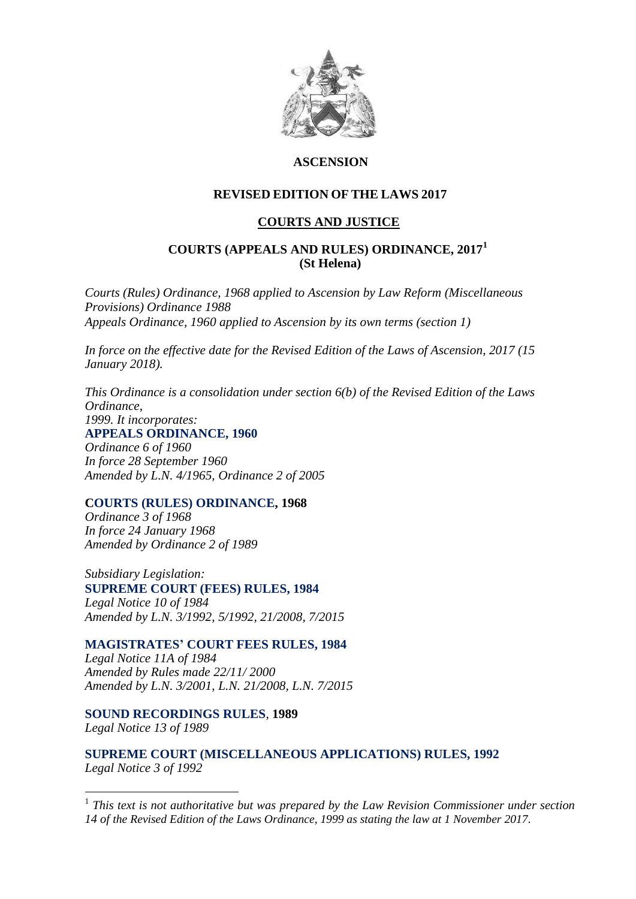

# **ASCENSION**

# **REVISED EDITION OF THE LAWS 2017**

### **COURTS AND JUSTICE**

### **COURTS (APPEALS AND RULES) ORDINANCE, 2017<sup>1</sup> (St Helena)**

*Courts (Rules) Ordinance, 1968 applied to Ascension by Law Reform (Miscellaneous Provisions) Ordinance 1988 Appeals Ordinance, 1960 applied to Ascension by its own terms (section 1)*

*In force on the effective date for the Revised Edition of the Laws of Ascension, 2017 (15 January 2018).*

*This Ordinance is a consolidation under section 6(b) of the Revised Edition of the Laws Ordinance, 1999. It incorporates:* **APPEALS ORDINANCE, 1960** *Ordinance 6 of 1960 In force 28 September 1960 Amended by L.N. 4/1965, Ordinance 2 of 2005*

#### **COURTS (RULES) ORDINANCE, 1968**

*Ordinance 3 of 1968 In force 24 January 1968 Amended by Ordinance 2 of 1989*

*Subsidiary Legislation:* **SUPREME COURT (FEES) RULES, 1984**  *Legal Notice 10 of 1984 Amended by L.N. 3/1992, 5/1992, 21/2008, 7/2015*

**MAGISTRATES' COURT FEES RULES, 1984**  *Legal Notice 11A of 1984 Amended by Rules made 22/11/ 2000 Amended by L.N. 3/2001, L.N. 21/2008, L.N. 7/2015*

**[SOUND RECORDINGS RULES](file:///C:/Users/Wilson/Desktop/SH%20Courts%20&%20Justice/%20/%20Section33)**, **1989** *Legal Notice 13 of 1989*

1

**SUPREME COURT (MISCELLANEOUS APPLICATIONS) RULES, 1992**  *Legal Notice 3 of 1992*

<sup>1</sup> This text is not authoritative but was prepared by the Law Revision Commissioner under section *14 of the Revised Edition of the Laws Ordinance, 1999 as stating the law at 1 November 2017.*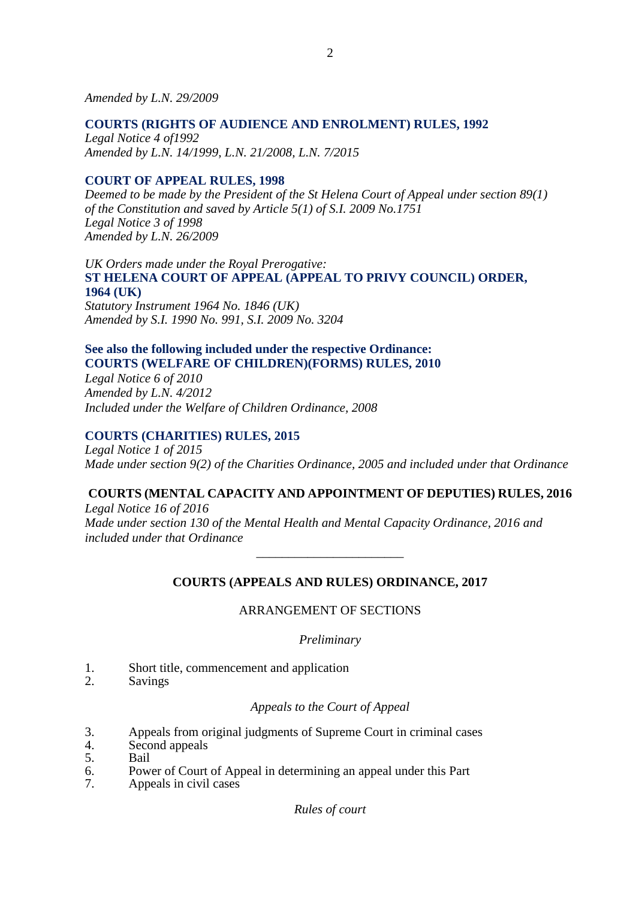*Amended by L.N. 29/2009*

### **COURTS (RIGHTS OF AUDIENCE AND ENROLMENT) RULES, 1992**

*Legal Notice 4 of1992 Amended by L.N. 14/1999, L.N. 21/2008, L.N. 7/2015*

### **COURT OF APPEAL RULES, 1998**

*Deemed to be made by the President of the St Helena Court of Appeal under section 89(1) of the Constitution and saved by Article 5(1) of S.I. 2009 No.1751 Legal Notice 3 of 1998 Amended by L.N. 26/2009*

*UK Orders made under the Royal Prerogative:* **ST HELENA COURT OF APPEAL (APPEAL TO PRIVY COUNCIL) ORDER, 1964 (UK)** *Statutory Instrument 1964 No. 1846 (UK) Amended by S.I. 1990 No. 991, S.I. 2009 No. 3204*

# **See also the following included under the respective Ordinance: COURTS (WELFARE OF CHILDREN)(FORMS) RULES, 2010**

*Legal Notice 6 of 2010 Amended by L.N. 4/2012 Included under the Welfare of Children Ordinance, 2008*

### **COURTS (CHARITIES) RULES, 2015**

*Legal Notice 1 of 2015 Made under section 9(2) of the Charities Ordinance, 2005 and included under that Ordinance*

# **COURTS (MENTAL CAPACITY AND APPOINTMENT OF DEPUTIES) RULES, 2016**

*Legal Notice 16 of 2016 Made under section 130 of the Mental Health and Mental Capacity Ordinance, 2016 and included under that Ordinance*

### **COURTS (APPEALS AND RULES) ORDINANCE, 2017**

*\_\_\_\_\_\_\_\_\_\_\_\_\_\_\_\_\_\_\_\_\_\_\_*

### ARRANGEMENT OF SECTIONS

### *Preliminary*

- 1. Short title, commencement and application
- 2. Savings

### *Appeals to the Court of Appeal*

- 3. Appeals from original judgments of Supreme Court in criminal cases
- 4. Second appeals
- 5. Bail
- 6. Power of Court of Appeal in determining an appeal under this Part 7. Appeals in civil cases
- Appeals in civil cases

*Rules of court*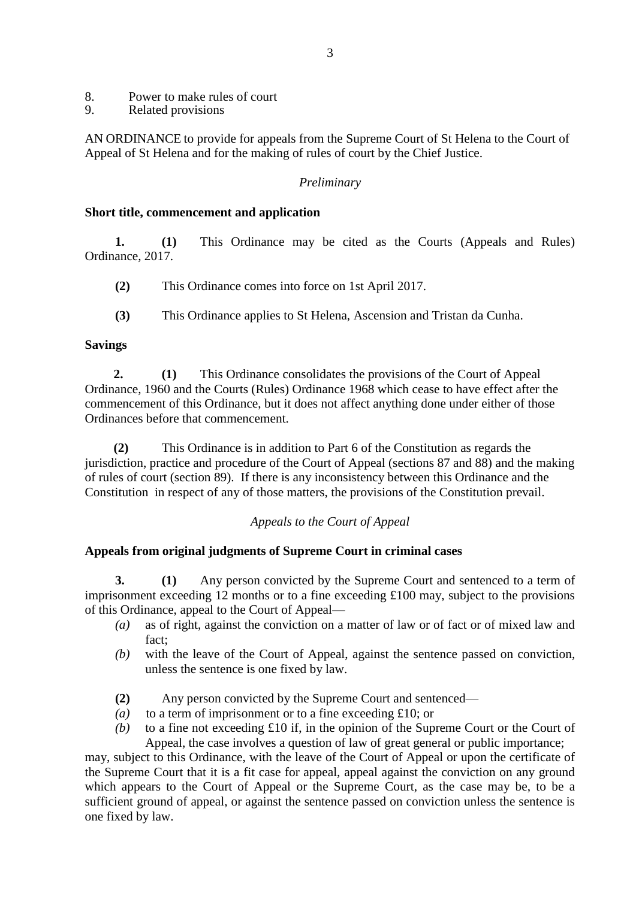- 8. Power to make rules of court<br>9. Related provisions
- 9. Related provisions

AN ORDINANCE to provide for appeals from the Supreme Court of St Helena to the Court of Appeal of St Helena and for the making of rules of court by the Chief Justice.

### *Preliminary*

#### **Short title, commencement and application**

**1. (1)** This Ordinance may be cited as the Courts (Appeals and Rules) Ordinance, 2017.

- **(2)** This Ordinance comes into force on 1st April 2017.
- **(3)** This Ordinance applies to St Helena, Ascension and Tristan da Cunha.

### **Savings**

 **2. (1)** This Ordinance consolidates the provisions of the Court of Appeal Ordinance, 1960 and the Courts (Rules) Ordinance 1968 which cease to have effect after the commencement of this Ordinance, but it does not affect anything done under either of those Ordinances before that commencement.

 **(2)** This Ordinance is in addition to Part 6 of the Constitution as regards the jurisdiction, practice and procedure of the Court of Appeal (sections 87 and 88) and the making of rules of court (section 89). If there is any inconsistency between this Ordinance and the Constitution in respect of any of those matters, the provisions of the Constitution prevail.

### *Appeals to the Court of Appeal*

### **Appeals from original judgments of Supreme Court in criminal cases**

**3. (1)** Any person convicted by the Supreme Court and sentenced to a term of imprisonment exceeding 12 months or to a fine exceeding £100 may, subject to the provisions of this Ordinance, appeal to the Court of Appeal—

- *(a)* as of right, against the conviction on a matter of law or of fact or of mixed law and fact;
- *(b)* with the leave of the Court of Appeal, against the sentence passed on conviction, unless the sentence is one fixed by law.
- **(2)** Any person convicted by the Supreme Court and sentenced—
- *(a)* to a term of imprisonment or to a fine exceeding £10; or
- *(b)* to a fine not exceeding £10 if, in the opinion of the Supreme Court or the Court of Appeal, the case involves a question of law of great general or public importance;

may, subject to this Ordinance, with the leave of the Court of Appeal or upon the certificate of the Supreme Court that it is a fit case for appeal, appeal against the conviction on any ground which appears to the Court of Appeal or the Supreme Court, as the case may be, to be a sufficient ground of appeal, or against the sentence passed on conviction unless the sentence is one fixed by law.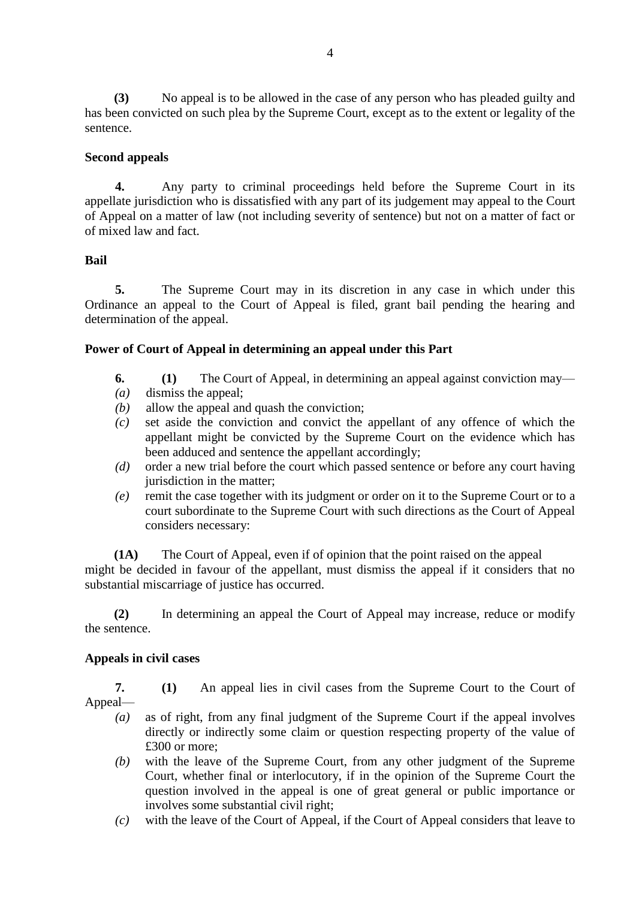**(3)** No appeal is to be allowed in the case of any person who has pleaded guilty and has been convicted on such plea by the Supreme Court, except as to the extent or legality of the sentence.

### **Second appeals**

**4.** Any party to criminal proceedings held before the Supreme Court in its appellate jurisdiction who is dissatisfied with any part of its judgement may appeal to the Court of Appeal on a matter of law (not including severity of sentence) but not on a matter of fact or of mixed law and fact.

### **Bail**

**5.** The Supreme Court may in its discretion in any case in which under this Ordinance an appeal to the Court of Appeal is filed, grant bail pending the hearing and determination of the appeal.

### **Power of Court of Appeal in determining an appeal under this Part**

- **6. (1)** The Court of Appeal, in determining an appeal against conviction may—
- *(a)* dismiss the appeal;
- *(b)* allow the appeal and quash the conviction;
- *(c)* set aside the conviction and convict the appellant of any offence of which the appellant might be convicted by the Supreme Court on the evidence which has been adduced and sentence the appellant accordingly;
- *(d)* order a new trial before the court which passed sentence or before any court having jurisdiction in the matter;
- *(e)* remit the case together with its judgment or order on it to the Supreme Court or to a court subordinate to the Supreme Court with such directions as the Court of Appeal considers necessary:

**(1A)** The Court of Appeal, even if of opinion that the point raised on the appeal might be decided in favour of the appellant, must dismiss the appeal if it considers that no substantial miscarriage of justice has occurred.

**(2)** In determining an appeal the Court of Appeal may increase, reduce or modify the sentence.

### **Appeals in civil cases**

**7. (1)** An appeal lies in civil cases from the Supreme Court to the Court of Appeal—

- *(a)* as of right, from any final judgment of the Supreme Court if the appeal involves directly or indirectly some claim or question respecting property of the value of £300 or more;
- *(b)* with the leave of the Supreme Court, from any other judgment of the Supreme Court, whether final or interlocutory, if in the opinion of the Supreme Court the question involved in the appeal is one of great general or public importance or involves some substantial civil right;
- *(c)* with the leave of the Court of Appeal, if the Court of Appeal considers that leave to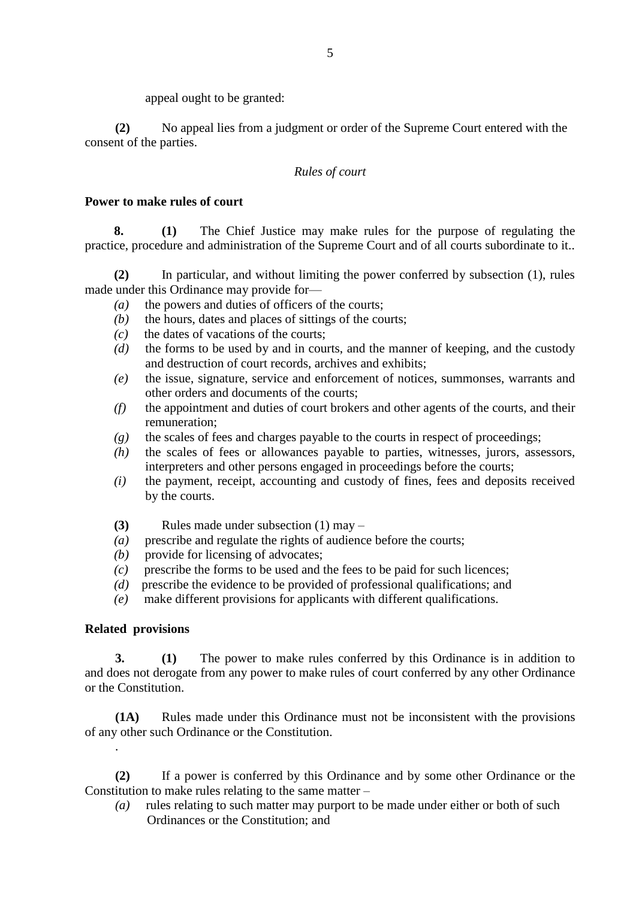appeal ought to be granted:

**(2)** No appeal lies from a judgment or order of the Supreme Court entered with the consent of the parties.

# *Rules of court*

### **Power to make rules of court**

**8. (1)** The Chief Justice may make rules for the purpose of regulating the practice, procedure and administration of the Supreme Court and of all courts subordinate to it..

**(2)** In particular, and without limiting the power conferred by subsection (1), rules made under this Ordinance may provide for—

- *(a)* the powers and duties of officers of the courts;
- *(b)* the hours, dates and places of sittings of the courts;
- *(c)* the dates of vacations of the courts;
- *(d)* the forms to be used by and in courts, and the manner of keeping, and the custody and destruction of court records, archives and exhibits;
- *(e)* the issue, signature, service and enforcement of notices, summonses, warrants and other orders and documents of the courts;
- *(f)* the appointment and duties of court brokers and other agents of the courts, and their remuneration;
- *(g)* the scales of fees and charges payable to the courts in respect of proceedings;
- *(h)* the scales of fees or allowances payable to parties, witnesses, jurors, assessors, interpreters and other persons engaged in proceedings before the courts;
- *(i)* the payment, receipt, accounting and custody of fines, fees and deposits received by the courts.
- **(3)** Rules made under subsection (1) may –
- *(a)* prescribe and regulate the rights of audience before the courts;
- *(b)* provide for licensing of advocates;
- *(c)* prescribe the forms to be used and the fees to be paid for such licences;
- *(d)* prescribe the evidence to be provided of professional qualifications; and
- *(e)* make different provisions for applicants with different qualifications.

### **Related provisions**

.

**3. (1)** The power to make rules conferred by this Ordinance is in addition to and does not derogate from any power to make rules of court conferred by any other Ordinance or the Constitution.

**(1A)** Rules made under this Ordinance must not be inconsistent with the provisions of any other such Ordinance or the Constitution.

**(2)** If a power is conferred by this Ordinance and by some other Ordinance or the Constitution to make rules relating to the same matter –

*(a)* rules relating to such matter may purport to be made under either or both of such Ordinances or the Constitution; and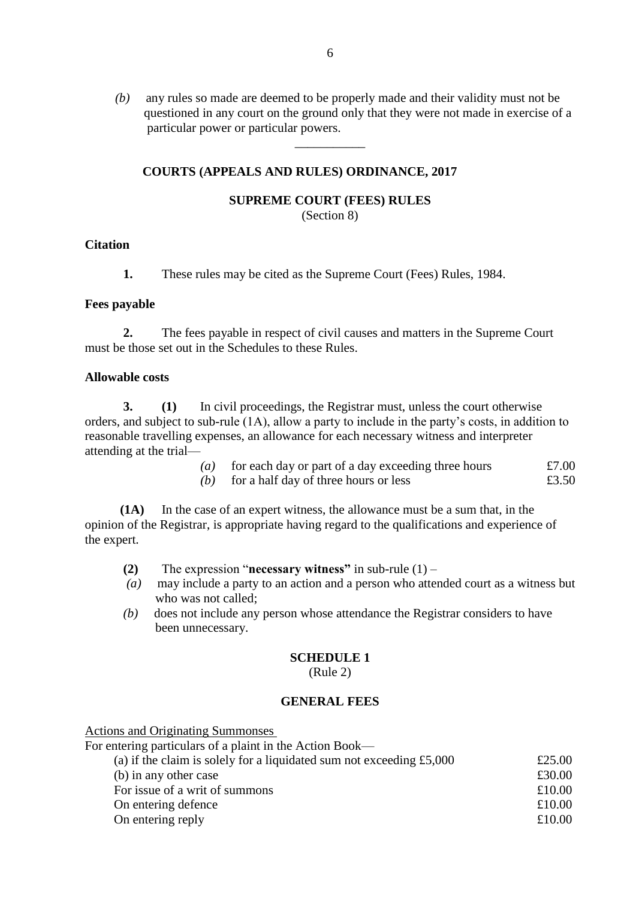*(b)* any rules so made are deemed to be properly made and their validity must not be questioned in any court on the ground only that they were not made in exercise of a particular power or particular powers.

### **COURTS (APPEALS AND RULES) ORDINANCE, 2017**

#### **SUPREME COURT (FEES) RULES**

\_\_\_\_\_\_\_\_\_\_\_

(Section 8)

#### **Citation**

**1.** These rules may be cited as the Supreme Court (Fees) Rules, 1984.

#### **Fees payable**

**2.** The fees payable in respect of civil causes and matters in the Supreme Court must be those set out in the Schedules to these Rules.

#### **Allowable costs**

**3. (1)** In civil proceedings, the Registrar must, unless the court otherwise orders, and subject to sub-rule (1A), allow a party to include in the party's costs, in addition to reasonable travelling expenses, an allowance for each necessary witness and interpreter attending at the trial—

| $\left( a\right)$ | for each day or part of a day exceeding three hours | £7.00 |
|-------------------|-----------------------------------------------------|-------|
| (b)               | for a half day of three hours or less               | £3.50 |

 **(1A)** In the case of an expert witness, the allowance must be a sum that, in the opinion of the Registrar, is appropriate having regard to the qualifications and experience of the expert.

- **(2)** The expression "**necessary witness"** in sub-rule (1) –
- *(a)* may include a party to an action and a person who attended court as a witness but who was not called;
- *(b)* does not include any person whose attendance the Registrar considers to have been unnecessary.

### **SCHEDULE 1**

(Rule 2)

#### **GENERAL FEES**

Actions and Originating Summonses

| For entering particulars of a plaint in the Action Book—               |        |
|------------------------------------------------------------------------|--------|
| (a) if the claim is solely for a liquidated sum not exceeding $£5,000$ | £25.00 |
| (b) in any other case                                                  | £30.00 |
| For issue of a writ of summons                                         | £10.00 |
| On entering defence                                                    | £10.00 |
| On entering reply                                                      | £10.00 |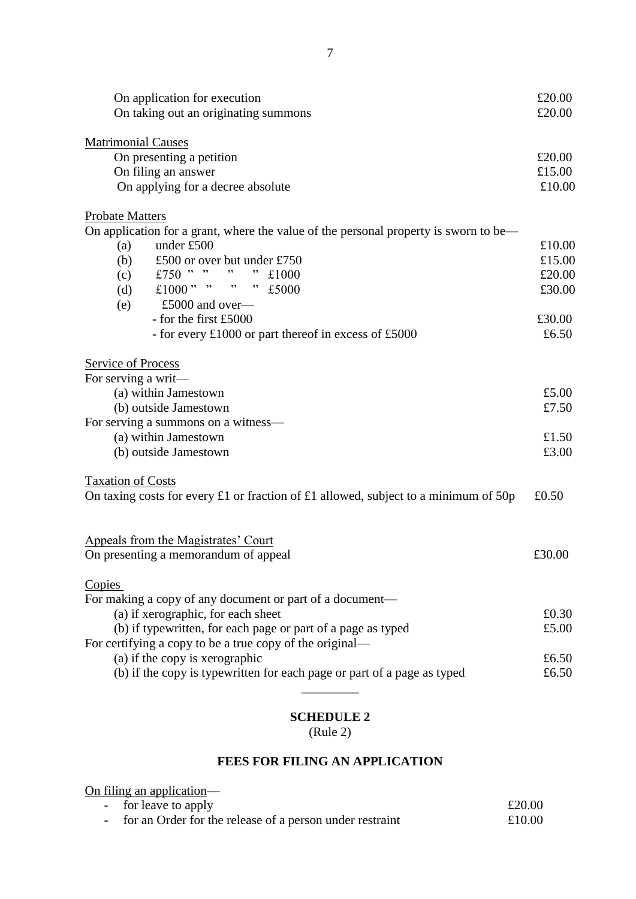| On application for execution<br>On taking out an originating summons                 | £20.00<br>£20.00 |
|--------------------------------------------------------------------------------------|------------------|
| <b>Matrimonial Causes</b>                                                            |                  |
| On presenting a petition                                                             | £20.00           |
| On filing an answer                                                                  | £15.00           |
| On applying for a decree absolute                                                    | £10.00           |
| <b>Probate Matters</b>                                                               |                  |
| On application for a grant, where the value of the personal property is sworn to be— |                  |
| under £500<br>(a)                                                                    | £10.00           |
| (b)<br>£500 or over but under £750                                                   | £15.00           |
| £750 " "<br>, ,<br>£1000<br>(c)                                                      | £20.00           |
| £1000" " " $E5000$<br>(d)                                                            | £30.00           |
| £5000 and over—<br>(e)                                                               |                  |
| - for the first £5000                                                                | £30.00           |
| - for every £1000 or part thereof in excess of £5000                                 | £6.50            |
| Service of Process                                                                   |                  |
| For serving a writ-                                                                  |                  |
| (a) within Jamestown                                                                 | £5.00            |
| (b) outside Jamestown                                                                | £7.50            |
| For serving a summons on a witness—                                                  |                  |
| (a) within Jamestown                                                                 | £1.50            |
| (b) outside Jamestown                                                                | £3.00            |
| <b>Taxation of Costs</b>                                                             |                  |
| On taxing costs for every £1 or fraction of £1 allowed, subject to a minimum of 50p  | £0.50            |
| Appeals from the Magistrates' Court                                                  |                  |
| On presenting a memorandum of appeal                                                 | £30.00           |
| Copies                                                                               |                  |
| For making a copy of any document or part of a document-                             |                  |
| (a) if xerographic, for each sheet                                                   | £0.30            |
| (b) if typewritten, for each page or part of a page as typed                         | £5.00            |
| For certifying a copy to be a true copy of the original—                             |                  |
| (a) if the copy is xerographic                                                       | £6.50            |
| (b) if the copy is typewritten for each page or part of a page as typed              | £6.50            |
|                                                                                      |                  |
|                                                                                      |                  |

# **SCHEDULE 2**

(Rule 2)

# **FEES FOR FILING AN APPLICATION**

On filing an application—

| - for leave to apply                                       | £20.00 |
|------------------------------------------------------------|--------|
| - for an Order for the release of a person under restraint | £10.00 |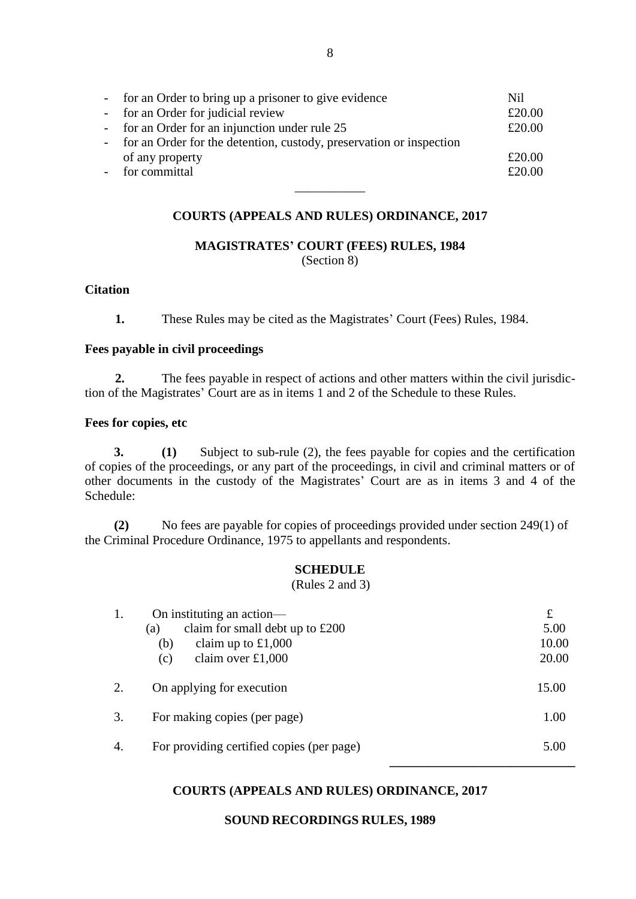| - for an Order to bring up a prisoner to give evidence                | Nil    |
|-----------------------------------------------------------------------|--------|
| - for an Order for judicial review                                    | £20.00 |
| - for an Order for an injunction under rule 25                        | £20.00 |
| - for an Order for the detention, custody, preservation or inspection |        |
| of any property                                                       | £20.00 |
| for committal                                                         | £20.00 |
|                                                                       |        |

#### **COURTS (APPEALS AND RULES) ORDINANCE, 2017**

**MAGISTRATES' COURT (FEES) RULES, 1984** (Section 8)

#### **Citation**

**1.** These Rules may be cited as the Magistrates' Court (Fees) Rules, 1984.

#### **Fees payable in civil proceedings**

**2.** The fees payable in respect of actions and other matters within the civil jurisdiction of the Magistrates' Court are as in items 1 and 2 of the Schedule to these Rules.

#### **Fees for copies, etc**

**3. (1)** Subject to sub-rule (2), the fees payable for copies and the certification of copies of the proceedings, or any part of the proceedings, in civil and criminal matters or of other documents in the custody of the Magistrates' Court are as in items 3 and 4 of the Schedule:

**(2)** No fees are payable for copies of proceedings provided under section 249(1) of the Criminal Procedure Ordinance, 1975 to appellants and respondents.

#### **SCHEDULE**

(Rules 2 and 3)

|    | On instituting an action—                 | $\mathbf f$ |
|----|-------------------------------------------|-------------|
|    | claim for small debt up to $£200$<br>(a)  | 5.00        |
|    | claim up to $£1,000$<br>(b)               | 10.00       |
|    | claim over $£1,000$<br>(c)                | 20.00       |
|    |                                           |             |
| 2. | On applying for execution                 | 15.00       |
|    |                                           |             |
| 3. | For making copies (per page)              | 1.00        |
|    |                                           |             |
| 4. | For providing certified copies (per page) | 5.00        |
|    |                                           |             |

#### **COURTS (APPEALS AND RULES) ORDINANCE, 2017**

#### **SOUND RECORDINGS RULES, 1989**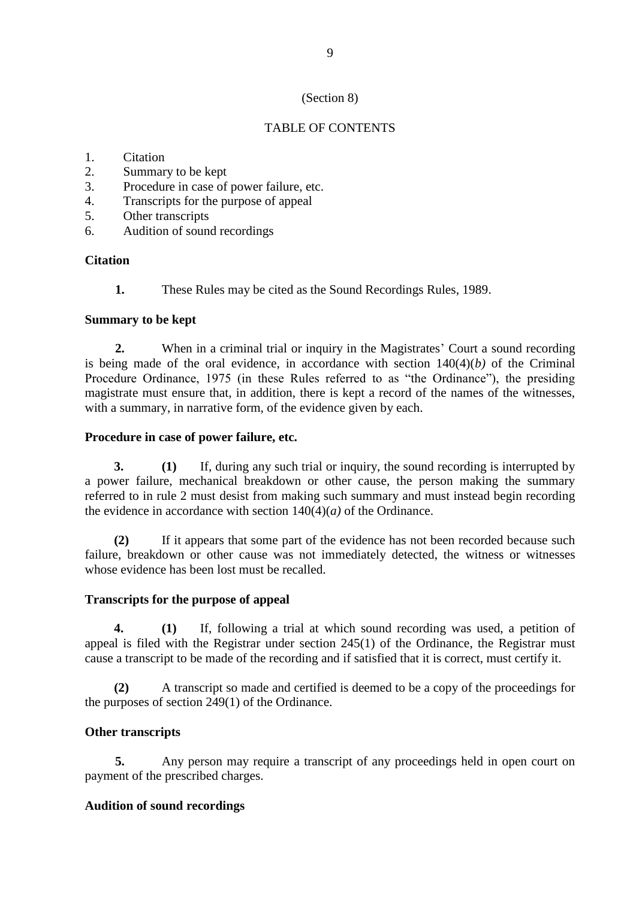# (Section 8)

# TABLE OF CONTENTS

- 1. Citation
- 2. Summary to be kept
- 3. Procedure in case of power failure, etc.
- 4. Transcripts for the purpose of appeal
- 5. Other transcripts
- 6. Audition of sound recordings

### **Citation**

**1.** These Rules may be cited as the Sound Recordings Rules, 1989.

### **Summary to be kept**

**2.** When in a criminal trial or inquiry in the Magistrates' Court a sound recording is being made of the oral evidence, in accordance with section  $140(4)(b)$  of the Criminal Procedure Ordinance, 1975 (in these Rules referred to as "the Ordinance"), the presiding magistrate must ensure that, in addition, there is kept a record of the names of the witnesses, with a summary, in narrative form, of the evidence given by each.

### **Procedure in case of power failure, etc.**

**3. (1)** If, during any such trial or inquiry, the sound recording is interrupted by a power failure, mechanical breakdown or other cause, the person making the summary referred to in rule 2 must desist from making such summary and must instead begin recording the evidence in accordance with section  $140(4)(a)$  of the Ordinance.

**(2)** If it appears that some part of the evidence has not been recorded because such failure, breakdown or other cause was not immediately detected, the witness or witnesses whose evidence has been lost must be recalled.

### **Transcripts for the purpose of appeal**

**4. (1)** If, following a trial at which sound recording was used, a petition of appeal is filed with the Registrar under section 245(1) of the Ordinance, the Registrar must cause a transcript to be made of the recording and if satisfied that it is correct, must certify it.

**(2)** A transcript so made and certified is deemed to be a copy of the proceedings for the purposes of section 249(1) of the Ordinance.

# **Other transcripts**

**5.** Any person may require a transcript of any proceedings held in open court on payment of the prescribed charges.

### **Audition of sound recordings**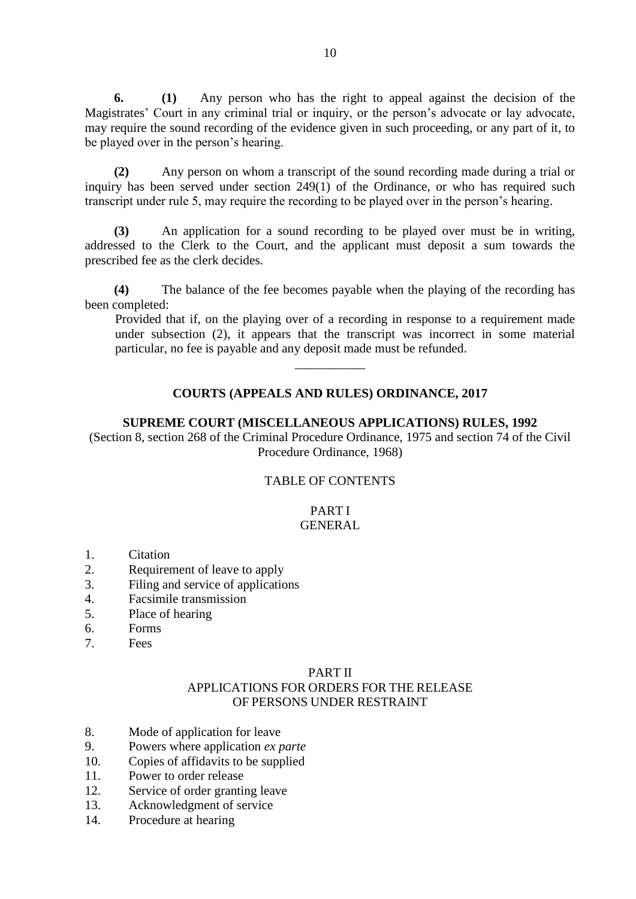**6. (1)** Any person who has the right to appeal against the decision of the Magistrates' Court in any criminal trial or inquiry, or the person's advocate or lay advocate. may require the sound recording of the evidence given in such proceeding, or any part of it, to be played over in the person's hearing.

**(2)** Any person on whom a transcript of the sound recording made during a trial or inquiry has been served under section 249(1) of the Ordinance, or who has required such transcript under rule 5, may require the recording to be played over in the person's hearing.

**(3)** An application for a sound recording to be played over must be in writing, addressed to the Clerk to the Court, and the applicant must deposit a sum towards the prescribed fee as the clerk decides.

**(4)** The balance of the fee becomes payable when the playing of the recording has been completed:

Provided that if, on the playing over of a recording in response to a requirement made under subsection (2), it appears that the transcript was incorrect in some material particular, no fee is payable and any deposit made must be refunded.

### **COURTS (APPEALS AND RULES) ORDINANCE, 2017**

 $\overline{\phantom{a}}$ 

#### **SUPREME COURT (MISCELLANEOUS APPLICATIONS) RULES, 1992**

(Section 8, section 268 of the Criminal Procedure Ordinance, 1975 and section 74 of the Civil Procedure Ordinance, 1968)

### TABLE OF CONTENTS

#### PART I GENERAL

- 1. Citation
- 2. Requirement of leave to apply
- 3. Filing and service of applications
- 4. Facsimile transmission
- 5. Place of hearing
- 6. Forms
- 7. Fees

#### PART II APPLICATIONS FOR ORDERS FOR THE RELEASE OF PERSONS UNDER RESTRAINT

- 8. Mode of application for leave
- 9. Powers where application *ex parte*
- 10. Copies of affidavits to be supplied
- 11. Power to order release
- 12. Service of order granting leave
- 13. Acknowledgment of service
- 14. Procedure at hearing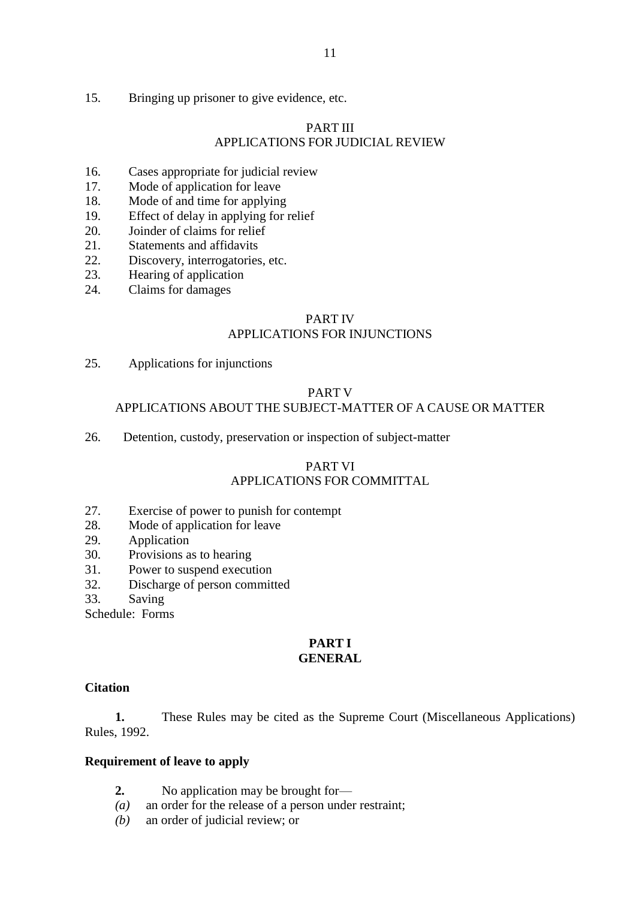15. Bringing up prisoner to give evidence, etc.

# PART III APPLICATIONS FOR JUDICIAL REVIEW

- 16. Cases appropriate for judicial review
- 17. Mode of application for leave
- 18. Mode of and time for applying
- 19. Effect of delay in applying for relief
- 20. Joinder of claims for relief
- 21. Statements and affidavits
- 22. Discovery, interrogatories, etc.
- 23. Hearing of application
- 24. Claims for damages

### PART IV

### APPLICATIONS FOR INJUNCTIONS

25. Applications for injunctions

### PART V

### APPLICATIONS ABOUT THE SUBJECT-MATTER OF A CAUSE OR MATTER

26. Detention, custody, preservation or inspection of subject-matter

# PART VI APPLICATIONS FOR COMMITTAL

- 27. Exercise of power to punish for contempt
- 28. Mode of application for leave
- 29. Application
- 30. Provisions as to hearing
- 31. Power to suspend execution
- 32. Discharge of person committed
- 33. Saving

Schedule: Forms

# **PART I**

# **GENERAL**

### **Citation**

**1.** These Rules may be cited as the Supreme Court (Miscellaneous Applications) Rules, 1992.

### **Requirement of leave to apply**

- **2.** No application may be brought for—
- *(a)* an order for the release of a person under restraint;
- *(b)* an order of judicial review; or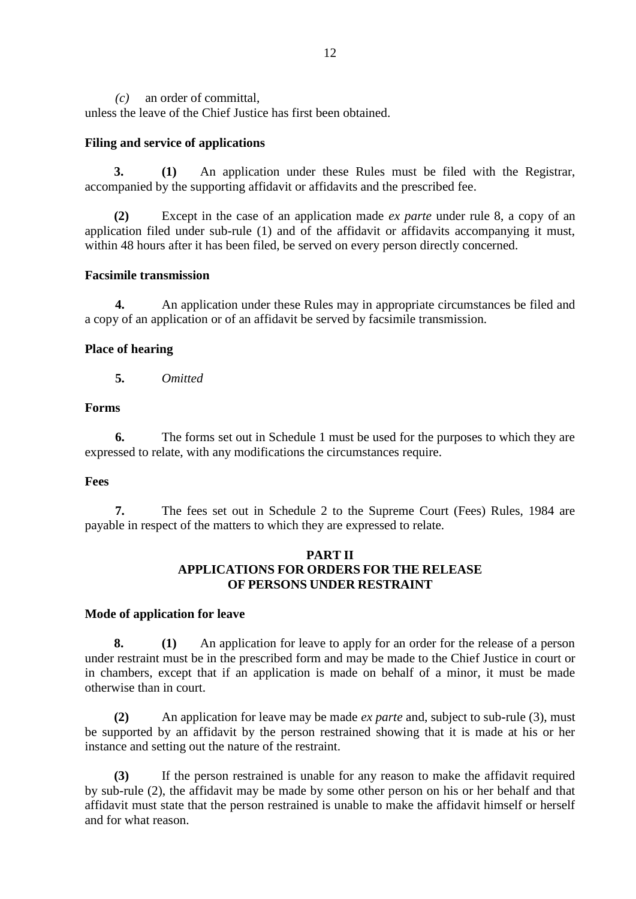*(c)* an order of committal,

unless the leave of the Chief Justice has first been obtained.

#### **Filing and service of applications**

**3. (1)** An application under these Rules must be filed with the Registrar, accompanied by the supporting affidavit or affidavits and the prescribed fee.

**(2)** Except in the case of an application made *ex parte* under rule 8, a copy of an application filed under sub-rule (1) and of the affidavit or affidavits accompanying it must, within 48 hours after it has been filed, be served on every person directly concerned.

### **Facsimile transmission**

**4.** An application under these Rules may in appropriate circumstances be filed and a copy of an application or of an affidavit be served by facsimile transmission.

### **Place of hearing**

**5.** *Omitted*

#### **Forms**

**6.** The forms set out in Schedule 1 must be used for the purposes to which they are expressed to relate, with any modifications the circumstances require.

#### **Fees**

**7.** The fees set out in Schedule 2 to the Supreme Court (Fees) Rules, 1984 are payable in respect of the matters to which they are expressed to relate.

### **PART II APPLICATIONS FOR ORDERS FOR THE RELEASE OF PERSONS UNDER RESTRAINT**

#### **Mode of application for leave**

**8. (1)** An application for leave to apply for an order for the release of a person under restraint must be in the prescribed form and may be made to the Chief Justice in court or in chambers, except that if an application is made on behalf of a minor, it must be made otherwise than in court.

**(2)** An application for leave may be made *ex parte* and, subject to sub-rule (3), must be supported by an affidavit by the person restrained showing that it is made at his or her instance and setting out the nature of the restraint.

**(3)** If the person restrained is unable for any reason to make the affidavit required by sub-rule (2), the affidavit may be made by some other person on his or her behalf and that affidavit must state that the person restrained is unable to make the affidavit himself or herself and for what reason.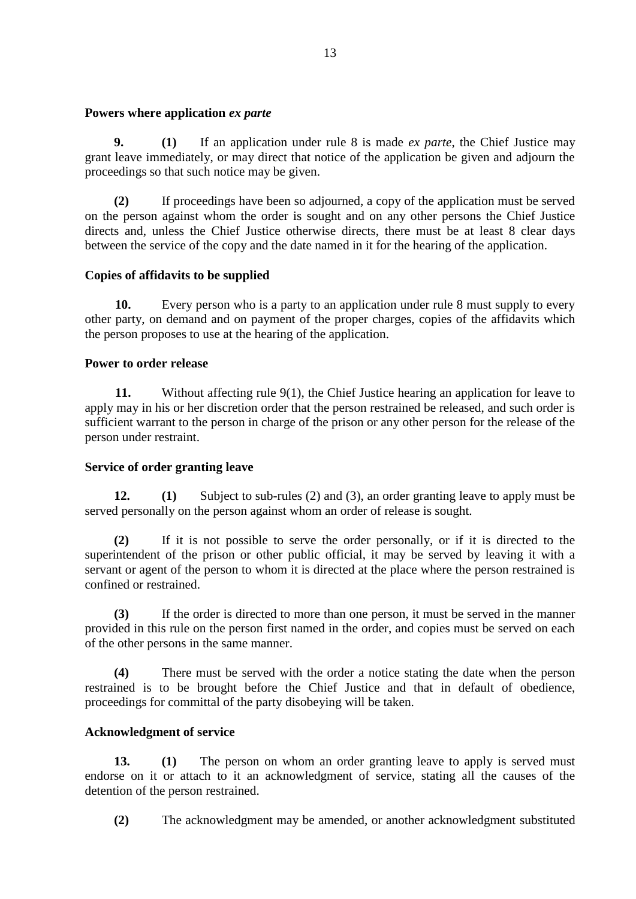#### **Powers where application** *ex parte*

**9. (1)** If an application under rule 8 is made *ex parte*, the Chief Justice may grant leave immediately, or may direct that notice of the application be given and adjourn the proceedings so that such notice may be given.

**(2)** If proceedings have been so adjourned, a copy of the application must be served on the person against whom the order is sought and on any other persons the Chief Justice directs and, unless the Chief Justice otherwise directs, there must be at least 8 clear days between the service of the copy and the date named in it for the hearing of the application.

### **Copies of affidavits to be supplied**

**10.** Every person who is a party to an application under rule 8 must supply to every other party, on demand and on payment of the proper charges, copies of the affidavits which the person proposes to use at the hearing of the application.

### **Power to order release**

**11.** Without affecting rule 9(1), the Chief Justice hearing an application for leave to apply may in his or her discretion order that the person restrained be released, and such order is sufficient warrant to the person in charge of the prison or any other person for the release of the person under restraint.

### **Service of order granting leave**

**12. (1)** Subject to sub-rules (2) and (3), an order granting leave to apply must be served personally on the person against whom an order of release is sought.

**(2)** If it is not possible to serve the order personally, or if it is directed to the superintendent of the prison or other public official, it may be served by leaving it with a servant or agent of the person to whom it is directed at the place where the person restrained is confined or restrained.

**(3)** If the order is directed to more than one person, it must be served in the manner provided in this rule on the person first named in the order, and copies must be served on each of the other persons in the same manner.

**(4)** There must be served with the order a notice stating the date when the person restrained is to be brought before the Chief Justice and that in default of obedience, proceedings for committal of the party disobeying will be taken.

### **Acknowledgment of service**

**13. (1)** The person on whom an order granting leave to apply is served must endorse on it or attach to it an acknowledgment of service, stating all the causes of the detention of the person restrained.

**(2)** The acknowledgment may be amended, or another acknowledgment substituted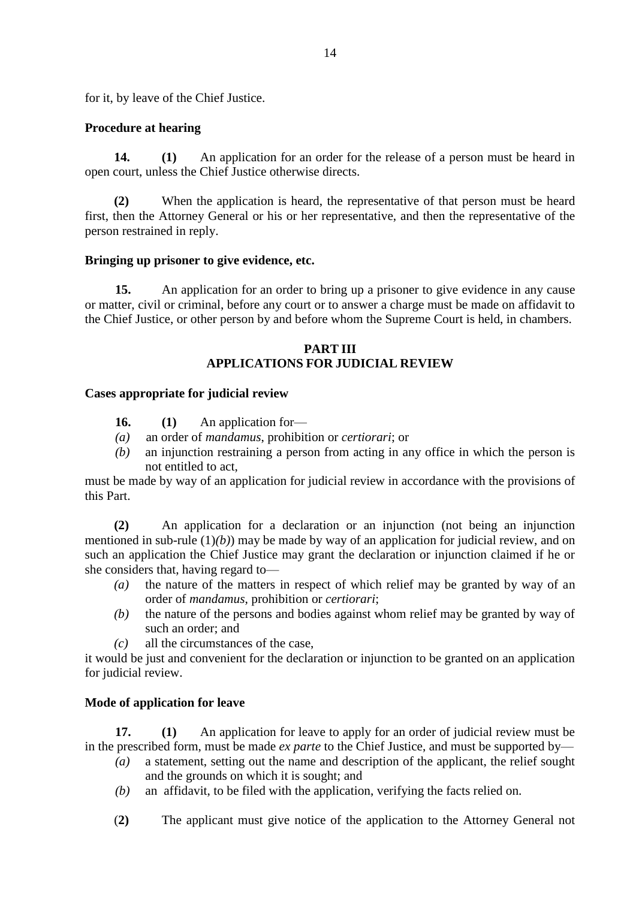for it, by leave of the Chief Justice.

# **Procedure at hearing**

**14. (1)** An application for an order for the release of a person must be heard in open court, unless the Chief Justice otherwise directs.

**(2)** When the application is heard, the representative of that person must be heard first, then the Attorney General or his or her representative, and then the representative of the person restrained in reply.

### **Bringing up prisoner to give evidence, etc.**

**15.** An application for an order to bring up a prisoner to give evidence in any cause or matter, civil or criminal, before any court or to answer a charge must be made on affidavit to the Chief Justice, or other person by and before whom the Supreme Court is held, in chambers.

# **PART III APPLICATIONS FOR JUDICIAL REVIEW**

### **Cases appropriate for judicial review**

- **16. (1)** An application for—
- *(a)* an order of *mandamus*, prohibition or *certiorari*; or
- *(b)* an injunction restraining a person from acting in any office in which the person is not entitled to act,

must be made by way of an application for judicial review in accordance with the provisions of this Part.

**(2)** An application for a declaration or an injunction (not being an injunction mentioned in sub-rule (1)*(b)*) may be made by way of an application for judicial review, and on such an application the Chief Justice may grant the declaration or injunction claimed if he or she considers that, having regard to—

- *(a)* the nature of the matters in respect of which relief may be granted by way of an order of *mandamus*, prohibition or *certiorari*;
- *(b)* the nature of the persons and bodies against whom relief may be granted by way of such an order; and
- *(c)* all the circumstances of the case,

it would be just and convenient for the declaration or injunction to be granted on an application for judicial review.

### **Mode of application for leave**

**17. (1)** An application for leave to apply for an order of judicial review must be in the prescribed form, must be made *ex parte* to the Chief Justice, and must be supported by—

- *(a)* a statement, setting out the name and description of the applicant, the relief sought and the grounds on which it is sought; and
- *(b)* an affidavit, to be filed with the application, verifying the facts relied on.
- (**2)** The applicant must give notice of the application to the Attorney General not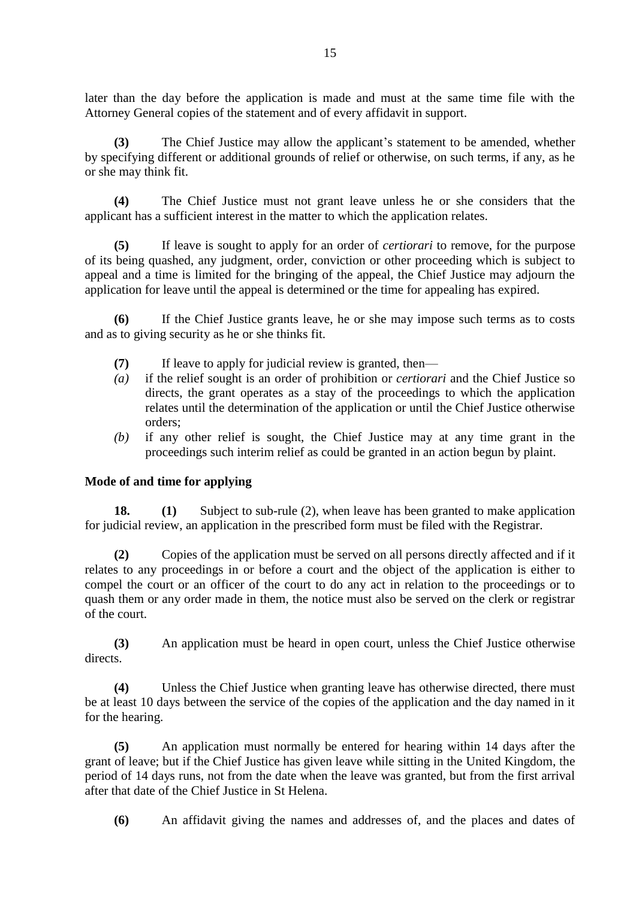later than the day before the application is made and must at the same time file with the Attorney General copies of the statement and of every affidavit in support.

**(3)** The Chief Justice may allow the applicant's statement to be amended, whether by specifying different or additional grounds of relief or otherwise, on such terms, if any, as he or she may think fit.

**(4)** The Chief Justice must not grant leave unless he or she considers that the applicant has a sufficient interest in the matter to which the application relates.

**(5)** If leave is sought to apply for an order of *certiorari* to remove, for the purpose of its being quashed, any judgment, order, conviction or other proceeding which is subject to appeal and a time is limited for the bringing of the appeal, the Chief Justice may adjourn the application for leave until the appeal is determined or the time for appealing has expired.

**(6)** If the Chief Justice grants leave, he or she may impose such terms as to costs and as to giving security as he or she thinks fit.

- **(7)** If leave to apply for judicial review is granted, then—
- *(a)* if the relief sought is an order of prohibition or *certiorari* and the Chief Justice so directs, the grant operates as a stay of the proceedings to which the application relates until the determination of the application or until the Chief Justice otherwise orders;
- *(b)* if any other relief is sought, the Chief Justice may at any time grant in the proceedings such interim relief as could be granted in an action begun by plaint.

### **Mode of and time for applying**

**18. (1)** Subject to sub-rule (2), when leave has been granted to make application for judicial review, an application in the prescribed form must be filed with the Registrar.

**(2)** Copies of the application must be served on all persons directly affected and if it relates to any proceedings in or before a court and the object of the application is either to compel the court or an officer of the court to do any act in relation to the proceedings or to quash them or any order made in them, the notice must also be served on the clerk or registrar of the court.

**(3)** An application must be heard in open court, unless the Chief Justice otherwise directs.

**(4)** Unless the Chief Justice when granting leave has otherwise directed, there must be at least 10 days between the service of the copies of the application and the day named in it for the hearing.

**(5)** An application must normally be entered for hearing within 14 days after the grant of leave; but if the Chief Justice has given leave while sitting in the United Kingdom, the period of 14 days runs, not from the date when the leave was granted, but from the first arrival after that date of the Chief Justice in St Helena.

**(6)** An affidavit giving the names and addresses of, and the places and dates of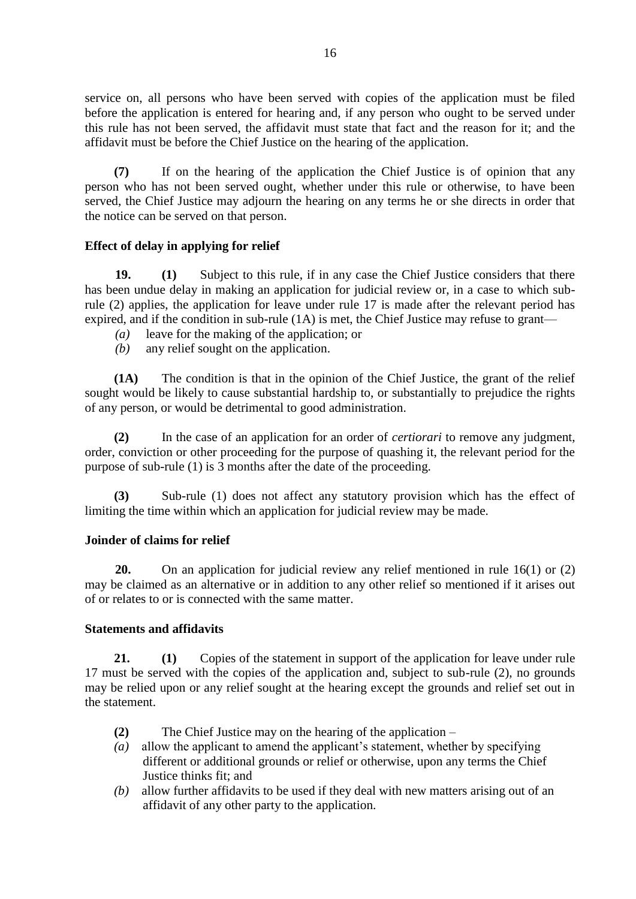service on, all persons who have been served with copies of the application must be filed before the application is entered for hearing and, if any person who ought to be served under this rule has not been served, the affidavit must state that fact and the reason for it; and the affidavit must be before the Chief Justice on the hearing of the application.

**(7)** If on the hearing of the application the Chief Justice is of opinion that any person who has not been served ought, whether under this rule or otherwise, to have been served, the Chief Justice may adjourn the hearing on any terms he or she directs in order that the notice can be served on that person.

### **Effect of delay in applying for relief**

**19. (1)** Subject to this rule, if in any case the Chief Justice considers that there has been undue delay in making an application for judicial review or, in a case to which subrule (2) applies, the application for leave under rule 17 is made after the relevant period has expired, and if the condition in sub-rule (1A) is met, the Chief Justice may refuse to grant—

- *(a)* leave for the making of the application; or
- *(b)* any relief sought on the application.

**(1A)** The condition is that in the opinion of the Chief Justice, the grant of the relief sought would be likely to cause substantial hardship to, or substantially to prejudice the rights of any person, or would be detrimental to good administration.

**(2)** In the case of an application for an order of *certiorari* to remove any judgment, order, conviction or other proceeding for the purpose of quashing it, the relevant period for the purpose of sub-rule (1) is 3 months after the date of the proceeding.

**(3)** Sub-rule (1) does not affect any statutory provision which has the effect of limiting the time within which an application for judicial review may be made.

### **Joinder of claims for relief**

**20.** On an application for judicial review any relief mentioned in rule 16(1) or (2) may be claimed as an alternative or in addition to any other relief so mentioned if it arises out of or relates to or is connected with the same matter.

### **Statements and affidavits**

**21. (1)** Copies of the statement in support of the application for leave under rule 17 must be served with the copies of the application and, subject to sub-rule (2), no grounds may be relied upon or any relief sought at the hearing except the grounds and relief set out in the statement.

- **(2)** The Chief Justice may on the hearing of the application –
- *(a)* allow the applicant to amend the applicant's statement, whether by specifying different or additional grounds or relief or otherwise, upon any terms the Chief Justice thinks fit; and
- *(b)* allow further affidavits to be used if they deal with new matters arising out of an affidavit of any other party to the application.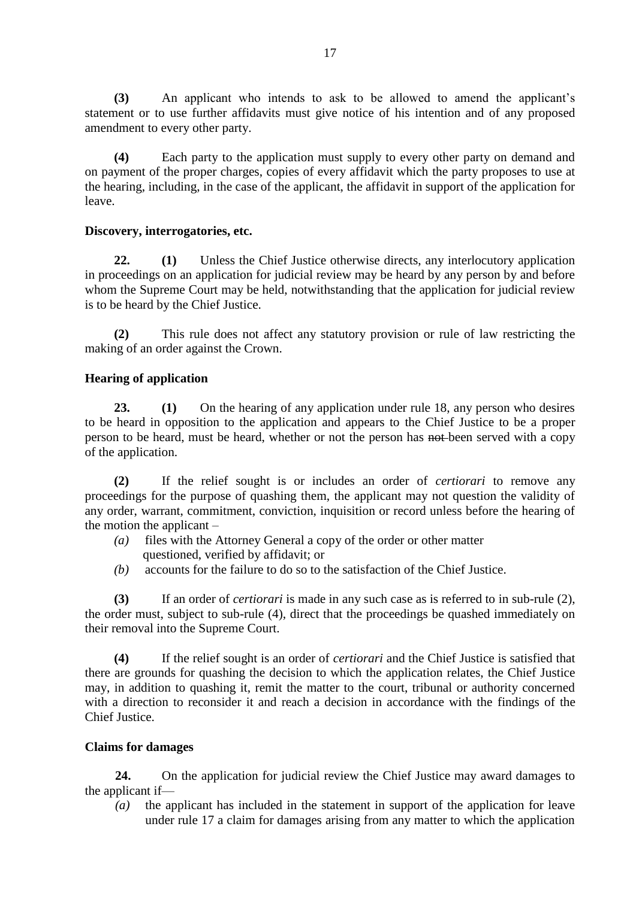**(3)** An applicant who intends to ask to be allowed to amend the applicant's statement or to use further affidavits must give notice of his intention and of any proposed amendment to every other party.

**(4)** Each party to the application must supply to every other party on demand and on payment of the proper charges, copies of every affidavit which the party proposes to use at the hearing, including, in the case of the applicant, the affidavit in support of the application for leave.

### **Discovery, interrogatories, etc.**

**22. (1)** Unless the Chief Justice otherwise directs, any interlocutory application in proceedings on an application for judicial review may be heard by any person by and before whom the Supreme Court may be held, notwithstanding that the application for judicial review is to be heard by the Chief Justice.

**(2)** This rule does not affect any statutory provision or rule of law restricting the making of an order against the Crown.

### **Hearing of application**

**23. (1)** On the hearing of any application under rule 18, any person who desires to be heard in opposition to the application and appears to the Chief Justice to be a proper person to be heard, must be heard, whether or not the person has not-been served with a copy of the application.

**(2)** If the relief sought is or includes an order of *certiorari* to remove any proceedings for the purpose of quashing them, the applicant may not question the validity of any order, warrant, commitment, conviction, inquisition or record unless before the hearing of the motion the applicant –

- *(a)* files with the Attorney General a copy of the order or other matter questioned, verified by affidavit; or
- *(b)* accounts for the failure to do so to the satisfaction of the Chief Justice.

**(3)** If an order of *certiorari* is made in any such case as is referred to in sub-rule (2), the order must, subject to sub-rule (4), direct that the proceedings be quashed immediately on their removal into the Supreme Court.

**(4)** If the relief sought is an order of *certiorari* and the Chief Justice is satisfied that there are grounds for quashing the decision to which the application relates, the Chief Justice may, in addition to quashing it, remit the matter to the court, tribunal or authority concerned with a direction to reconsider it and reach a decision in accordance with the findings of the Chief Justice.

### **Claims for damages**

**24.** On the application for judicial review the Chief Justice may award damages to the applicant if—

*(a)* the applicant has included in the statement in support of the application for leave under rule 17 a claim for damages arising from any matter to which the application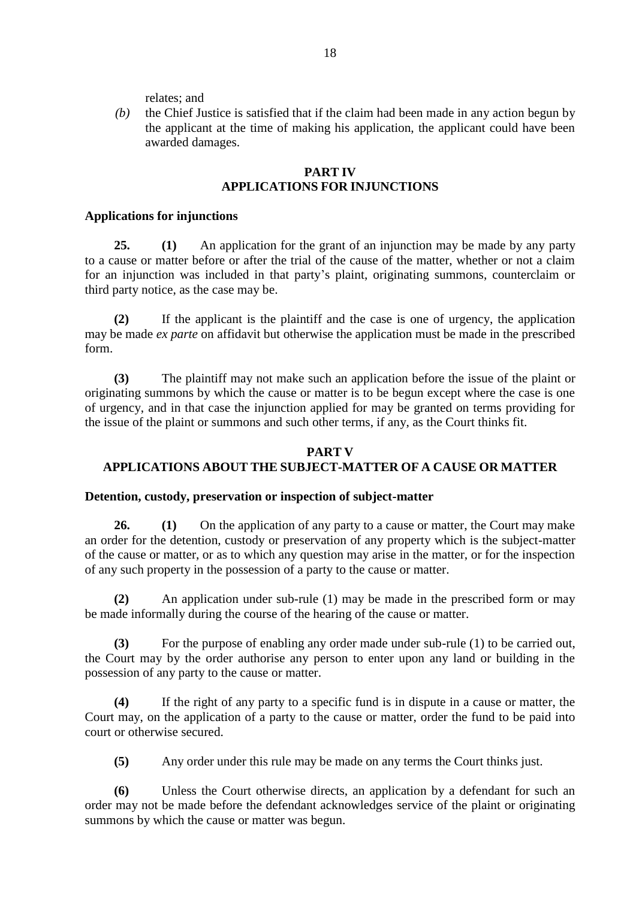relates; and

*(b)* the Chief Justice is satisfied that if the claim had been made in any action begun by the applicant at the time of making his application, the applicant could have been awarded damages.

### **PART IV APPLICATIONS FOR INJUNCTIONS**

#### **Applications for injunctions**

**25. (1)** An application for the grant of an injunction may be made by any party to a cause or matter before or after the trial of the cause of the matter, whether or not a claim for an injunction was included in that party's plaint, originating summons, counterclaim or third party notice, as the case may be.

**(2)** If the applicant is the plaintiff and the case is one of urgency, the application may be made *ex parte* on affidavit but otherwise the application must be made in the prescribed form.

**(3)** The plaintiff may not make such an application before the issue of the plaint or originating summons by which the cause or matter is to be begun except where the case is one of urgency, and in that case the injunction applied for may be granted on terms providing for the issue of the plaint or summons and such other terms, if any, as the Court thinks fit.

#### **PART V**

# **APPLICATIONS ABOUT THE SUBJECT-MATTER OF A CAUSE OR MATTER**

#### **Detention, custody, preservation or inspection of subject-matter**

**26. (1)** On the application of any party to a cause or matter, the Court may make an order for the detention, custody or preservation of any property which is the subject-matter of the cause or matter, or as to which any question may arise in the matter, or for the inspection of any such property in the possession of a party to the cause or matter.

**(2)** An application under sub-rule (1) may be made in the prescribed form or may be made informally during the course of the hearing of the cause or matter.

**(3)** For the purpose of enabling any order made under sub-rule (1) to be carried out, the Court may by the order authorise any person to enter upon any land or building in the possession of any party to the cause or matter.

**(4)** If the right of any party to a specific fund is in dispute in a cause or matter, the Court may, on the application of a party to the cause or matter, order the fund to be paid into court or otherwise secured.

**(5)** Any order under this rule may be made on any terms the Court thinks just.

**(6)** Unless the Court otherwise directs, an application by a defendant for such an order may not be made before the defendant acknowledges service of the plaint or originating summons by which the cause or matter was begun.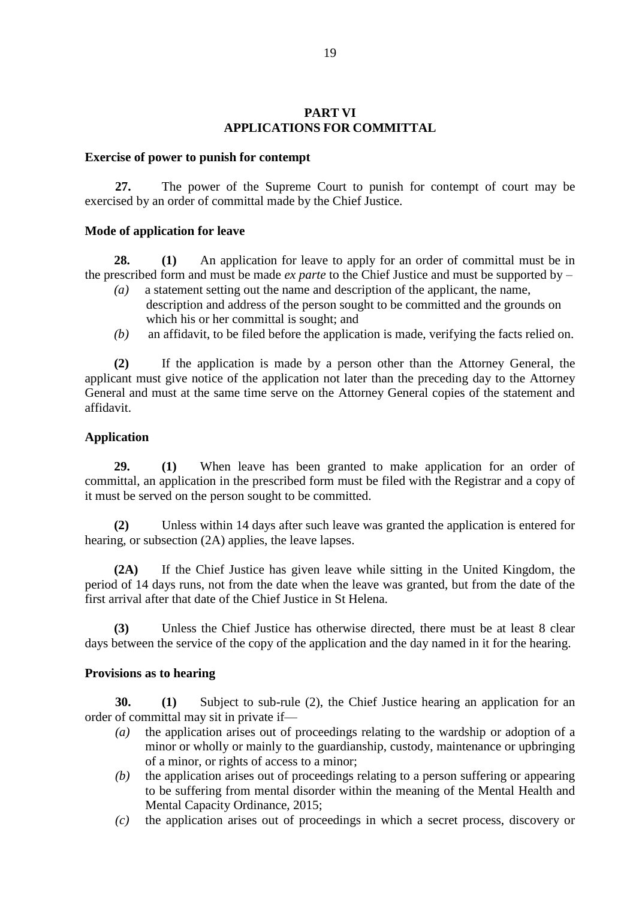### **PART VI APPLICATIONS FOR COMMITTAL**

#### **Exercise of power to punish for contempt**

**27.** The power of the Supreme Court to punish for contempt of court may be exercised by an order of committal made by the Chief Justice.

#### **Mode of application for leave**

**28. (1)** An application for leave to apply for an order of committal must be in the prescribed form and must be made *ex parte* to the Chief Justice and must be supported by –

- *(a)* a statement setting out the name and description of the applicant, the name, description and address of the person sought to be committed and the grounds on which his or her committal is sought; and
- *(b)* an affidavit, to be filed before the application is made, verifying the facts relied on.

**(2)** If the application is made by a person other than the Attorney General, the applicant must give notice of the application not later than the preceding day to the Attorney General and must at the same time serve on the Attorney General copies of the statement and affidavit.

### **Application**

**29. (1)** When leave has been granted to make application for an order of committal, an application in the prescribed form must be filed with the Registrar and a copy of it must be served on the person sought to be committed.

**(2)** Unless within 14 days after such leave was granted the application is entered for hearing, or subsection (2A) applies, the leave lapses.

**(2A)** If the Chief Justice has given leave while sitting in the United Kingdom, the period of 14 days runs, not from the date when the leave was granted, but from the date of the first arrival after that date of the Chief Justice in St Helena.

**(3)** Unless the Chief Justice has otherwise directed, there must be at least 8 clear days between the service of the copy of the application and the day named in it for the hearing.

### **Provisions as to hearing**

**30. (1)** Subject to sub-rule (2), the Chief Justice hearing an application for an order of committal may sit in private if—

- *(a)* the application arises out of proceedings relating to the wardship or adoption of a minor or wholly or mainly to the guardianship, custody, maintenance or upbringing of a minor, or rights of access to a minor;
- *(b)* the application arises out of proceedings relating to a person suffering or appearing to be suffering from mental disorder within the meaning of the Mental Health and Mental Capacity Ordinance, 2015;
- *(c)* the application arises out of proceedings in which a secret process, discovery or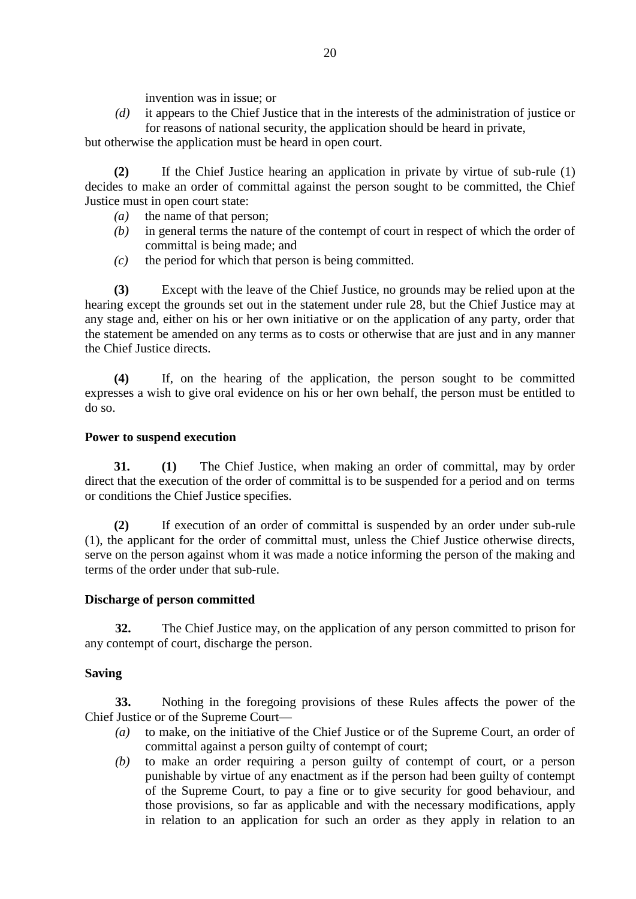invention was in issue; or

*(d)* it appears to the Chief Justice that in the interests of the administration of justice or for reasons of national security, the application should be heard in private,

but otherwise the application must be heard in open court.

**(2)** If the Chief Justice hearing an application in private by virtue of sub-rule (1) decides to make an order of committal against the person sought to be committed, the Chief Justice must in open court state:

- *(a)* the name of that person;
- *(b)* in general terms the nature of the contempt of court in respect of which the order of committal is being made; and
- *(c)* the period for which that person is being committed.

**(3)** Except with the leave of the Chief Justice, no grounds may be relied upon at the hearing except the grounds set out in the statement under rule 28, but the Chief Justice may at any stage and, either on his or her own initiative or on the application of any party, order that the statement be amended on any terms as to costs or otherwise that are just and in any manner the Chief Justice directs.

**(4)** If, on the hearing of the application, the person sought to be committed expresses a wish to give oral evidence on his or her own behalf, the person must be entitled to do so.

# **Power to suspend execution**

**31. (1)** The Chief Justice, when making an order of committal, may by order direct that the execution of the order of committal is to be suspended for a period and on terms or conditions the Chief Justice specifies.

**(2)** If execution of an order of committal is suspended by an order under sub-rule (1), the applicant for the order of committal must, unless the Chief Justice otherwise directs, serve on the person against whom it was made a notice informing the person of the making and terms of the order under that sub-rule.

# **Discharge of person committed**

**32.** The Chief Justice may, on the application of any person committed to prison for any contempt of court, discharge the person.

# **Saving**

**33.** Nothing in the foregoing provisions of these Rules affects the power of the Chief Justice or of the Supreme Court—

- *(a)* to make, on the initiative of the Chief Justice or of the Supreme Court, an order of committal against a person guilty of contempt of court;
- *(b)* to make an order requiring a person guilty of contempt of court, or a person punishable by virtue of any enactment as if the person had been guilty of contempt of the Supreme Court, to pay a fine or to give security for good behaviour, and those provisions, so far as applicable and with the necessary modifications, apply in relation to an application for such an order as they apply in relation to an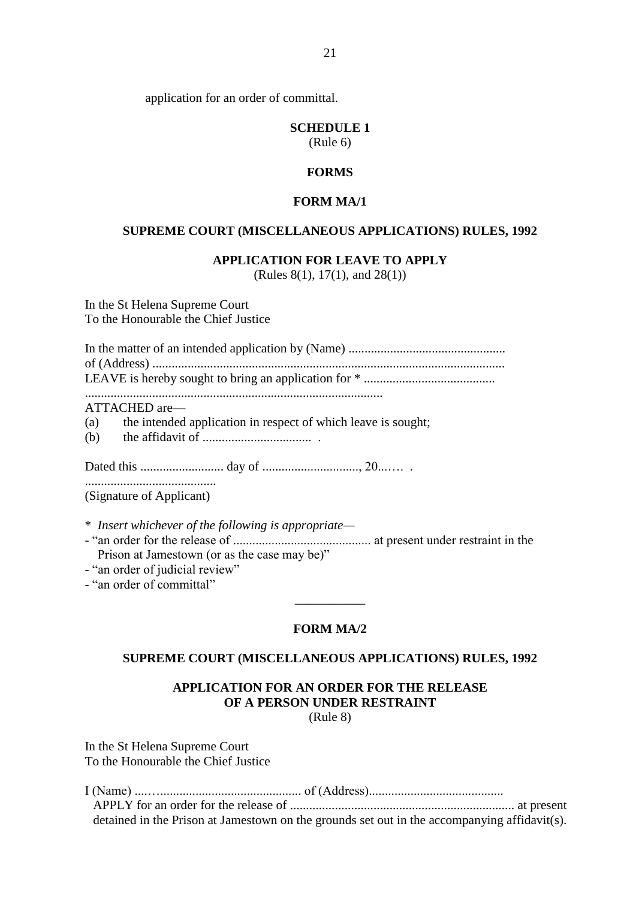application for an order of committal.

# **SCHEDULE 1**

(Rule 6)

# **FORMS**

#### **FORM MA/1**

#### **SUPREME COURT (MISCELLANEOUS APPLICATIONS) RULES, 1992**

#### **APPLICATION FOR LEAVE TO APPLY**

(Rules 8(1), 17(1), and 28(1))

In the St Helena Supreme Court To the Honourable the Chief Justice

.............................................................................................

ATTACHED are—

(a) the intended application in respect of which leave is sought;

(b) the affidavit of .................................. .

Dated this .......................... day of .............................., 20...…. .

......................................... (Signature of Applicant)

\* *Insert whichever of the following is appropriate—*

- "an order for the release of ........................................... at present under restraint in the Prison at Jamestown (or as the case may be)"

- "an order of judicial review"

- "an order of committal"

### **FORM MA/2**

\_\_\_\_\_\_\_\_\_\_\_

#### **SUPREME COURT (MISCELLANEOUS APPLICATIONS) RULES, 1992**

# **APPLICATION FOR AN ORDER FOR THE RELEASE OF A PERSON UNDER RESTRAINT**

(Rule 8)

In the St Helena Supreme Court To the Honourable the Chief Justice

| detained in the Prison at Jamestown on the grounds set out in the accompanying affidavit(s). |  |
|----------------------------------------------------------------------------------------------|--|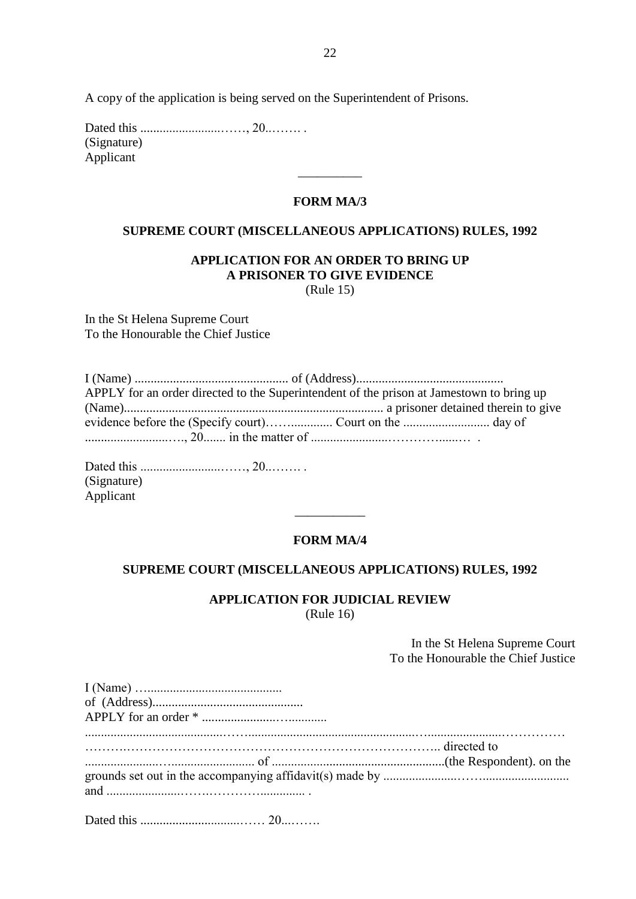A copy of the application is being served on the Superintendent of Prisons.

Dated this .........................……, 20..……. . (Signature) Applicant

### **FORM MA/3**

\_\_\_\_\_\_\_\_\_\_

#### **SUPREME COURT (MISCELLANEOUS APPLICATIONS) RULES, 1992**

# **APPLICATION FOR AN ORDER TO BRING UP A PRISONER TO GIVE EVIDENCE**

(Rule 15)

In the St Helena Supreme Court To the Honourable the Chief Justice

| APPLY for an order directed to the Superintendent of the prison at Jamestown to bring up |  |
|------------------------------------------------------------------------------------------|--|
|                                                                                          |  |
|                                                                                          |  |
|                                                                                          |  |

Dated this .........................……, 20..……. . (Signature) Applicant

#### **FORM MA/4**

\_\_\_\_\_\_\_\_\_\_\_

#### **SUPREME COURT (MISCELLANEOUS APPLICATIONS) RULES, 1992**

#### **APPLICATION FOR JUDICIAL REVIEW** (Rule 16)

In the St Helena Supreme Court To the Honourable the Chief Justice

| directed to                                                                         |  |
|-------------------------------------------------------------------------------------|--|
|                                                                                     |  |
| and $\ldots$ and $\ldots$ and $\ldots$ $\ldots$ $\ldots$ $\ldots$ $\ldots$ $\ldots$ |  |
|                                                                                     |  |
|                                                                                     |  |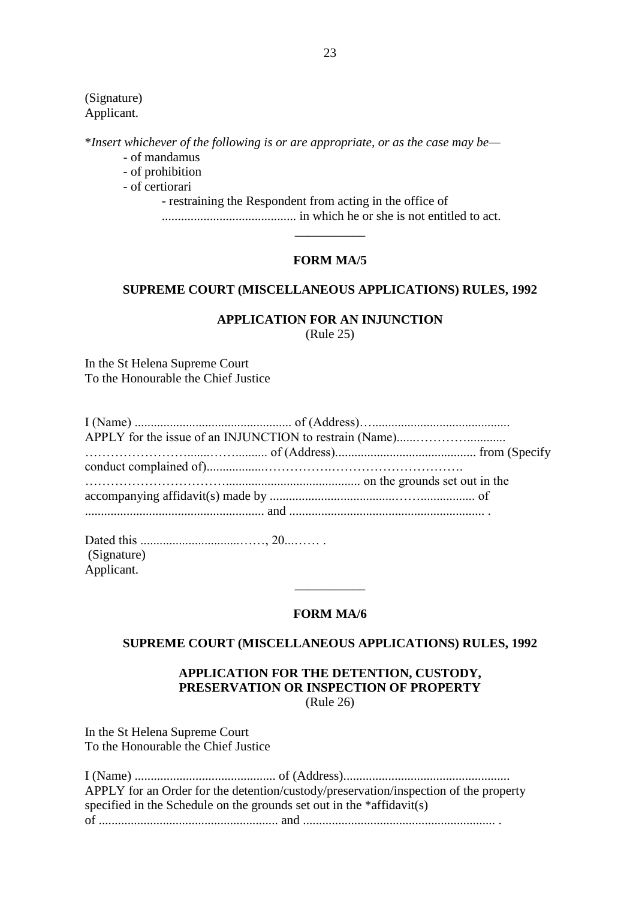(Signature) Applicant.

\**Insert whichever of the following is or are appropriate, or as the case may be—*

- of mandamus
- of prohibition

- of certiorari

- restraining the Respondent from acting in the office of .......................................... in which he or she is not entitled to act.

\_\_\_\_\_\_\_\_\_\_\_

#### **FORM MA/5**

### **SUPREME COURT (MISCELLANEOUS APPLICATIONS) RULES, 1992**

#### **APPLICATION FOR AN INJUNCTION** (Rule 25)

In the St Helena Supreme Court To the Honourable the Chief Justice

Dated this ...............................……, 20...…… . (Signature) Applicant.

#### **FORM MA/6**

 $\overline{\phantom{a}}$ 

#### **SUPREME COURT (MISCELLANEOUS APPLICATIONS) RULES, 1992**

### **APPLICATION FOR THE DETENTION, CUSTODY, PRESERVATION OR INSPECTION OF PROPERTY** (Rule 26)

In the St Helena Supreme Court To the Honourable the Chief Justice

| APPLY for an Order for the detention/custody/preservation/inspection of the property |  |
|--------------------------------------------------------------------------------------|--|
| specified in the Schedule on the grounds set out in the *affidavit(s)                |  |
|                                                                                      |  |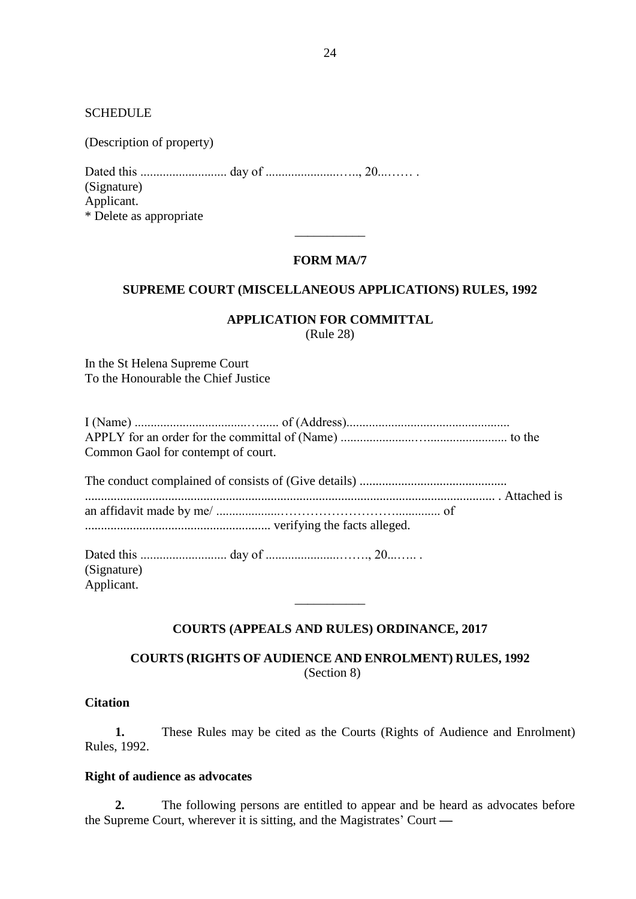**SCHEDULE** 

(Description of property)

Dated this ........................... day of .......................….., 20...…… . (Signature) Applicant. \* Delete as appropriate

#### **FORM MA/7**

\_\_\_\_\_\_\_\_\_\_\_

### **SUPREME COURT (MISCELLANEOUS APPLICATIONS) RULES, 1992**

### **APPLICATION FOR COMMITTAL**

(Rule 28)

In the St Helena Supreme Court To the Honourable the Chief Justice

| Common Gaol for contempt of court. |  |
|------------------------------------|--|
|                                    |  |
|                                    |  |
|                                    |  |
|                                    |  |
| (Signature)                        |  |
| Applicant.                         |  |

### **COURTS (APPEALS AND RULES) ORDINANCE, 2017**

\_\_\_\_\_\_\_\_\_\_\_

**COURTS (RIGHTS OF AUDIENCE AND ENROLMENT) RULES, 1992** (Section 8)

### **Citation**

**1.** These Rules may be cited as the Courts (Rights of Audience and Enrolment) Rules, 1992.

### **Right of audience as advocates**

**2.** The following persons are entitled to appear and be heard as advocates before the Supreme Court, wherever it is sitting, and the Magistrates' Court —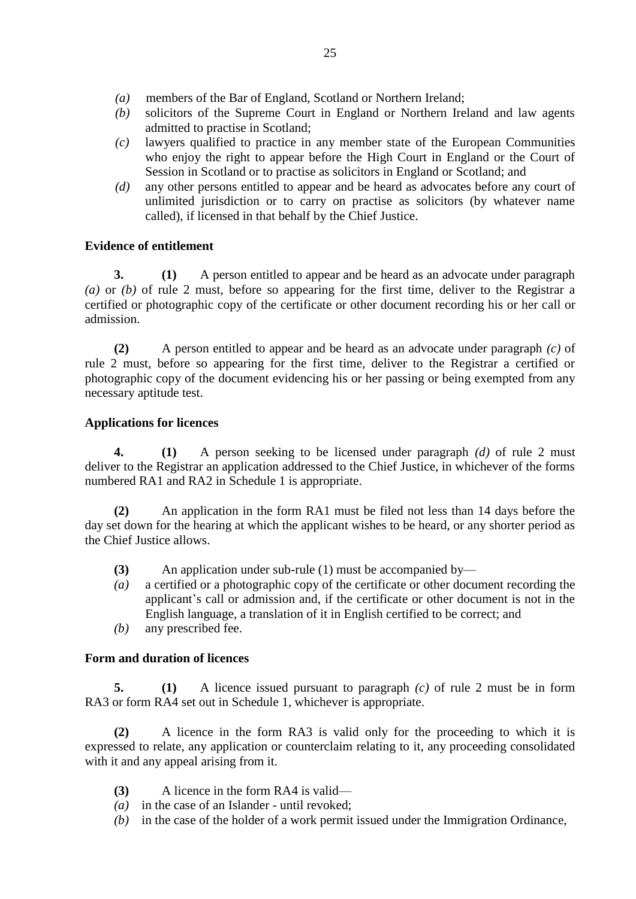- *(a)* members of the Bar of England, Scotland or Northern Ireland;
- *(b)* solicitors of the Supreme Court in England or Northern Ireland and law agents admitted to practise in Scotland;
- *(c)* lawyers qualified to practice in any member state of the European Communities who enjoy the right to appear before the High Court in England or the Court of Session in Scotland or to practise as solicitors in England or Scotland; and
- *(d)* any other persons entitled to appear and be heard as advocates before any court of unlimited jurisdiction or to carry on practise as solicitors (by whatever name called), if licensed in that behalf by the Chief Justice.

# **Evidence of entitlement**

**3. (1)** A person entitled to appear and be heard as an advocate under paragraph *(a)* or *(b)* of rule 2 must, before so appearing for the first time, deliver to the Registrar a certified or photographic copy of the certificate or other document recording his or her call or admission.

**(2)** A person entitled to appear and be heard as an advocate under paragraph *(c)* of rule 2 must, before so appearing for the first time, deliver to the Registrar a certified or photographic copy of the document evidencing his or her passing or being exempted from any necessary aptitude test.

# **Applications for licences**

**4. (1)** A person seeking to be licensed under paragraph *(d)* of rule 2 must deliver to the Registrar an application addressed to the Chief Justice, in whichever of the forms numbered RA1 and RA2 in Schedule 1 is appropriate.

**(2)** An application in the form RA1 must be filed not less than 14 days before the day set down for the hearing at which the applicant wishes to be heard, or any shorter period as the Chief Justice allows.

- **(3)** An application under sub-rule (1) must be accompanied by—
- *(a)* a certified or a photographic copy of the certificate or other document recording the applicant's call or admission and, if the certificate or other document is not in the English language, a translation of it in English certified to be correct; and
- *(b)* any prescribed fee.

# **Form and duration of licences**

**5. (1)** A licence issued pursuant to paragraph *(c)* of rule 2 must be in form RA3 or form RA4 set out in Schedule 1, whichever is appropriate.

**(2)** A licence in the form RA3 is valid only for the proceeding to which it is expressed to relate, any application or counterclaim relating to it, any proceeding consolidated with it and any appeal arising from it.

- **(3)** A licence in the form RA4 is valid—
- *(a)* in the case of an Islander until revoked;
- *(b)* in the case of the holder of a work permit issued under the Immigration Ordinance,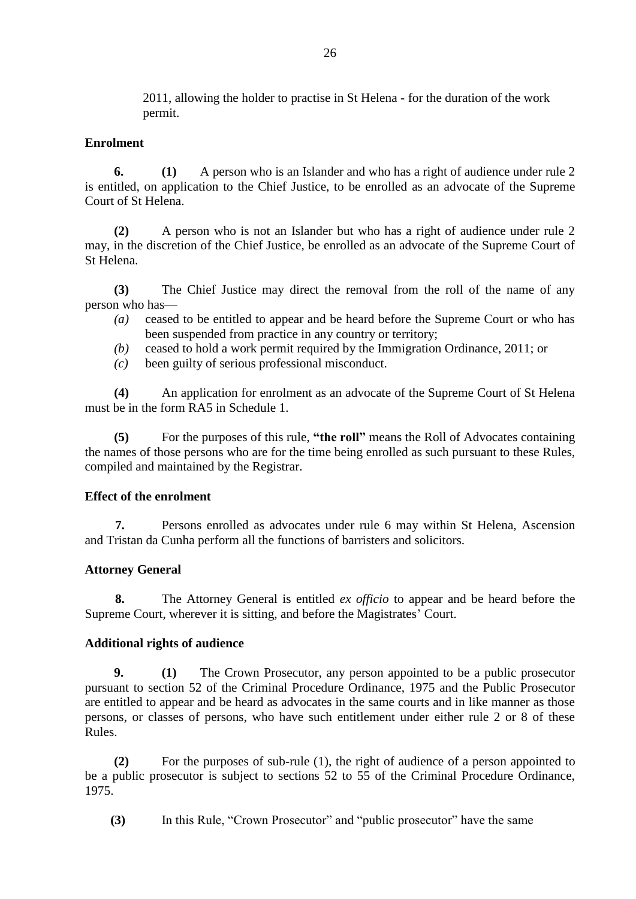2011, allowing the holder to practise in St Helena - for the duration of the work permit.

### **Enrolment**

**6. (1)** A person who is an Islander and who has a right of audience under rule 2 is entitled, on application to the Chief Justice, to be enrolled as an advocate of the Supreme Court of St Helena.

**(2)** A person who is not an Islander but who has a right of audience under rule 2 may, in the discretion of the Chief Justice, be enrolled as an advocate of the Supreme Court of St Helena.

**(3)** The Chief Justice may direct the removal from the roll of the name of any person who has—

- *(a)* ceased to be entitled to appear and be heard before the Supreme Court or who has been suspended from practice in any country or territory;
- *(b)* ceased to hold a work permit required by the Immigration Ordinance, 2011; or
- *(c)* been guilty of serious professional misconduct.

**(4)** An application for enrolment as an advocate of the Supreme Court of St Helena must be in the form RA5 in Schedule 1.

**(5)** For the purposes of this rule, **"the roll"** means the Roll of Advocates containing the names of those persons who are for the time being enrolled as such pursuant to these Rules, compiled and maintained by the Registrar.

### **Effect of the enrolment**

**7.** Persons enrolled as advocates under rule 6 may within St Helena, Ascension and Tristan da Cunha perform all the functions of barristers and solicitors.

### **Attorney General**

**8.** The Attorney General is entitled *ex officio* to appear and be heard before the Supreme Court, wherever it is sitting, and before the Magistrates' Court.

### **Additional rights of audience**

**9. (1)** The Crown Prosecutor, any person appointed to be a public prosecutor pursuant to section 52 of the Criminal Procedure Ordinance, 1975 and the Public Prosecutor are entitled to appear and be heard as advocates in the same courts and in like manner as those persons, or classes of persons, who have such entitlement under either rule 2 or 8 of these Rules.

**(2)** For the purposes of sub-rule (1), the right of audience of a person appointed to be a public prosecutor is subject to sections 52 to 55 of the Criminal Procedure Ordinance, 1975.

 **(3)** In this Rule, "Crown Prosecutor" and "public prosecutor" have the same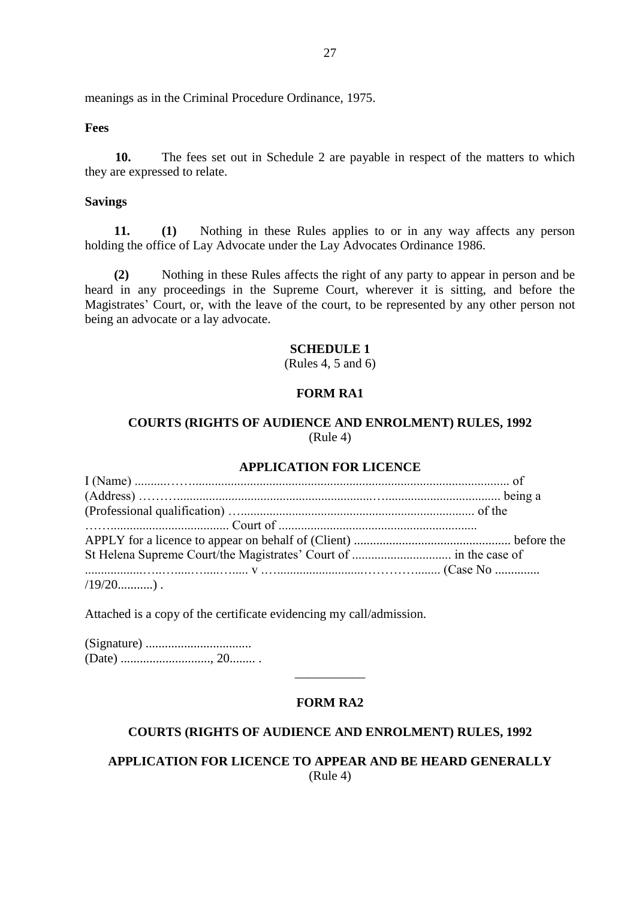meanings as in the Criminal Procedure Ordinance, 1975.

#### **Fees**

**10.** The fees set out in Schedule 2 are payable in respect of the matters to which they are expressed to relate.

#### **Savings**

**11. (1)** Nothing in these Rules applies to or in any way affects any person holding the office of Lay Advocate under the Lay Advocates Ordinance 1986.

**(2)** Nothing in these Rules affects the right of any party to appear in person and be heard in any proceedings in the Supreme Court, wherever it is sitting, and before the Magistrates' Court, or, with the leave of the court, to be represented by any other person not being an advocate or a lay advocate.

#### **SCHEDULE 1**

(Rules 4, 5 and 6)

### **FORM RA1**

# **COURTS (RIGHTS OF AUDIENCE AND ENROLMENT) RULES, 1992** (Rule 4)

### **APPLICATION FOR LICENCE**

Attached is a copy of the certificate evidencing my call/admission.

(Signature) ................................. (Date) ............................, 20........ .

# **FORM RA2**

\_\_\_\_\_\_\_\_\_\_\_

### **COURTS (RIGHTS OF AUDIENCE AND ENROLMENT) RULES, 1992**

**APPLICATION FOR LICENCE TO APPEAR AND BE HEARD GENERALLY** (Rule 4)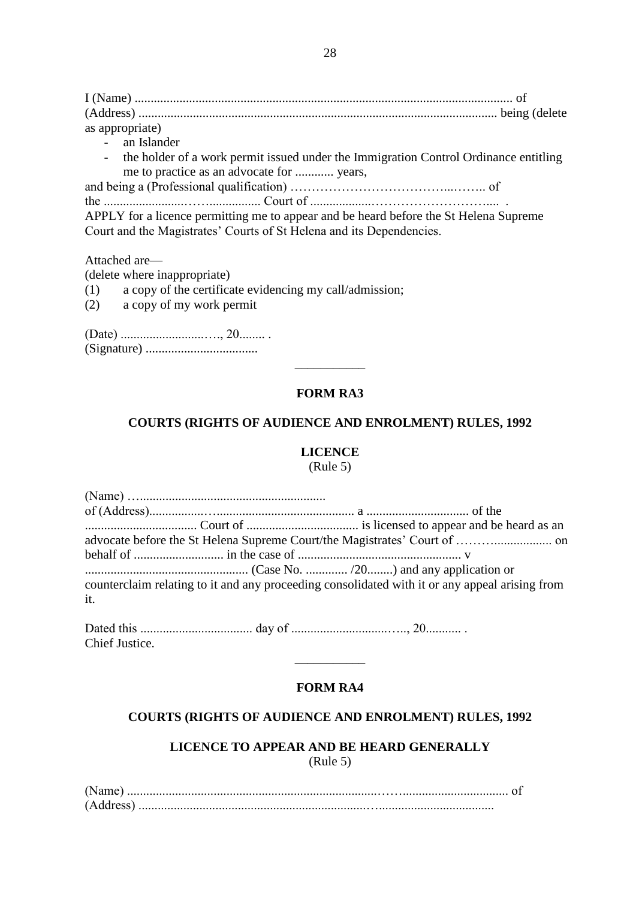I (Name) ...................................................................................................................... of (Address) ................................................................................................................ being (delete as appropriate)

- an Islander
- the holder of a work permit issued under the Immigration Control Ordinance entitling me to practice as an advocate for ............ years,

and being a (Professional qualification) ………………………………...…….. of

the .........................……................ Court of ...................……………………….... . APPLY for a licence permitting me to appear and be heard before the St Helena Supreme Court and the Magistrates' Courts of St Helena and its Dependencies.

Attached are—

(delete where inappropriate)

- (1) a copy of the certificate evidencing my call/admission;
- (2) a copy of my work permit

# **FORM RA3**

 $\overline{\phantom{a}}$ 

### **COURTS (RIGHTS OF AUDIENCE AND ENROLMENT) RULES, 1992**

### **LICENCE**

#### (Rule 5)

Dated this ................................... day of ..............................….., 20........... . Chief Justice.

# **FORM RA4**

 $\overline{\phantom{a}}$ 

### **COURTS (RIGHTS OF AUDIENCE AND ENROLMENT) RULES, 1992**

### **LICENCE TO APPEAR AND BE HEARD GENERALLY** (Rule 5)

| (Name)    |  |  |  |
|-----------|--|--|--|
| (Address) |  |  |  |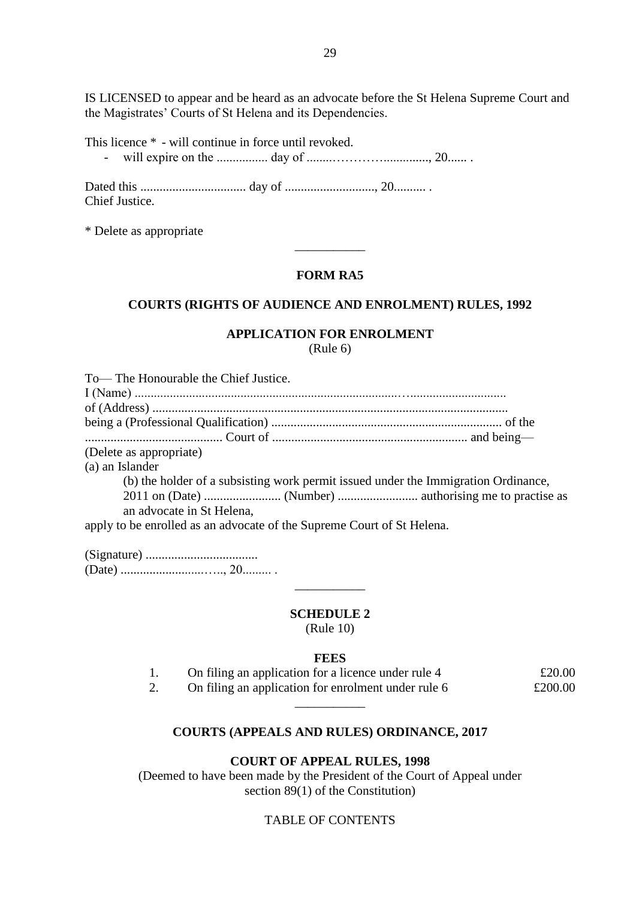IS LICENSED to appear and be heard as an advocate before the St Helena Supreme Court and the Magistrates' Courts of St Helena and its Dependencies.

This licence \* - will continue in force until revoked. - will expire on the ................ day of ........………….............., 20...... .

Dated this ................................. day of ............................, 20.......... . Chief Justice.

\* Delete as appropriate

# **FORM RA5**

\_\_\_\_\_\_\_\_\_\_\_

### **COURTS (RIGHTS OF AUDIENCE AND ENROLMENT) RULES, 1992**

# **APPLICATION FOR ENROLMENT**

(Rule 6)

| To-The Honourable the Chief Justice.                                               |
|------------------------------------------------------------------------------------|
|                                                                                    |
|                                                                                    |
|                                                                                    |
|                                                                                    |
| (Delete as appropriate)                                                            |
| (a) an Islander                                                                    |
| (b) the holder of a subsisting work permit issued under the Immigration Ordinance, |
| an advocate in St Helena,                                                          |
| apply to be enrolled as an advocate of the Supreme Court of St Helena.             |

#### **SCHEDULE 2**

 $\overline{\phantom{a}}$ 

(Rule 10)

### **FEES**

|    | On filing an application for a licence under rule 4 | £20.00  |
|----|-----------------------------------------------------|---------|
| z. | On filing an application for enrolment under rule 6 | £200.00 |

### **COURTS (APPEALS AND RULES) ORDINANCE, 2017**

\_\_\_\_\_\_\_\_\_\_\_

#### **COURT OF APPEAL RULES, 1998**

(Deemed to have been made by the President of the Court of Appeal under section 89(1) of the Constitution)

# TABLE OF CONTENTS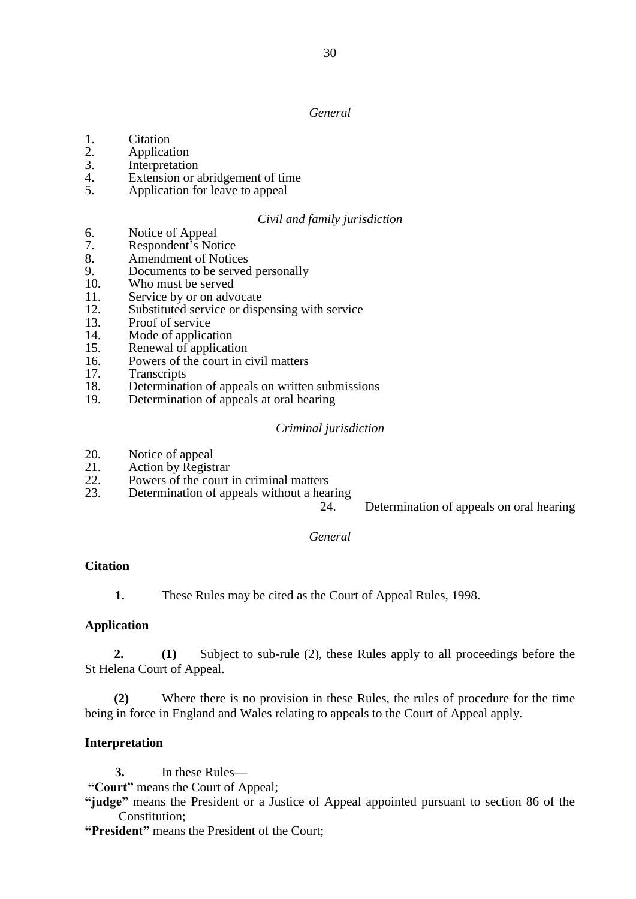*General*

- 
- 1. Citation<br>2. Applicat 2. Application<br>3. Interpretation
- **Interpretation**
- 4. Extension or abridgement of time<br>5. Application for leave to appeal
- Application for leave to appeal

#### *Civil and family jurisdiction*

- 6. Notice of Appeal<br>7. Respondent's Not
- Respondent's Notice
- 8. Amendment of Notices<br>9. Documents to be served
- Documents to be served personally
- 10. Who must be served
- 11. Service by or on advocate<br>12. Substituted service or disp
- 12. Substituted service or dispensing with service<br>13. Proof of service
- Proof of service
- 14. Mode of application<br>15. Renewal of application
- Renewal of application
- 16. Powers of the court in civil matters
- 17. Transcripts
- 18. Determination of appeals on written submissions<br>19. Determination of appeals at oral hearing
- Determination of appeals at oral hearing

#### *Criminal jurisdiction*

- 20. Notice of appeal<br>21. Action by Regist
- 21. Action by Registrar<br>22. Powers of the court
- 22. Powers of the court in criminal matters<br>23. Determination of appeals without a hea
- Determination of appeals without a hearing

24. Determination of appeals on oral hearing

#### *General*

#### **Citation**

**1.** These Rules may be cited as the Court of Appeal Rules, 1998.

#### **Application**

**2. (1)** Subject to sub-rule (2), these Rules apply to all proceedings before the St Helena Court of Appeal.

**(2)** Where there is no provision in these Rules, the rules of procedure for the time being in force in England and Wales relating to appeals to the Court of Appeal apply.

#### **Interpretation**

**3.** In these Rules—

**"Court"** means the Court of Appeal;

**"judge"** means the President or a Justice of Appeal appointed pursuant to section 86 of the Constitution;

**"President"** means the President of the Court;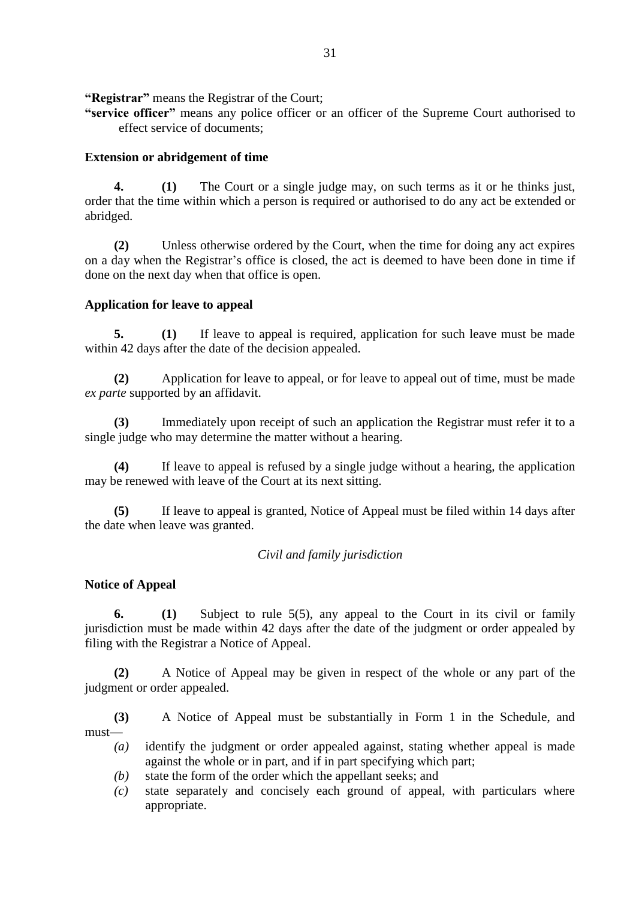**"Registrar"** means the Registrar of the Court;

**"service officer"** means any police officer or an officer of the Supreme Court authorised to effect service of documents;

### **Extension or abridgement of time**

**4. (1)** The Court or a single judge may, on such terms as it or he thinks just, order that the time within which a person is required or authorised to do any act be extended or abridged.

**(2)** Unless otherwise ordered by the Court, when the time for doing any act expires on a day when the Registrar's office is closed, the act is deemed to have been done in time if done on the next day when that office is open.

### **Application for leave to appeal**

**5. (1)** If leave to appeal is required, application for such leave must be made within 42 days after the date of the decision appealed.

**(2)** Application for leave to appeal, or for leave to appeal out of time, must be made *ex parte* supported by an affidavit.

**(3)** Immediately upon receipt of such an application the Registrar must refer it to a single judge who may determine the matter without a hearing.

**(4)** If leave to appeal is refused by a single judge without a hearing, the application may be renewed with leave of the Court at its next sitting.

**(5)** If leave to appeal is granted, Notice of Appeal must be filed within 14 days after the date when leave was granted.

*Civil and family jurisdiction*

# **Notice of Appeal**

**6. (1)** Subject to rule 5(5), any appeal to the Court in its civil or family jurisdiction must be made within 42 days after the date of the judgment or order appealed by filing with the Registrar a Notice of Appeal.

**(2)** A Notice of Appeal may be given in respect of the whole or any part of the judgment or order appealed.

**(3)** A Notice of Appeal must be substantially in Form 1 in the Schedule, and must—

- *(a)* identify the judgment or order appealed against, stating whether appeal is made against the whole or in part, and if in part specifying which part;
- *(b)* state the form of the order which the appellant seeks; and
- *(c)* state separately and concisely each ground of appeal, with particulars where appropriate.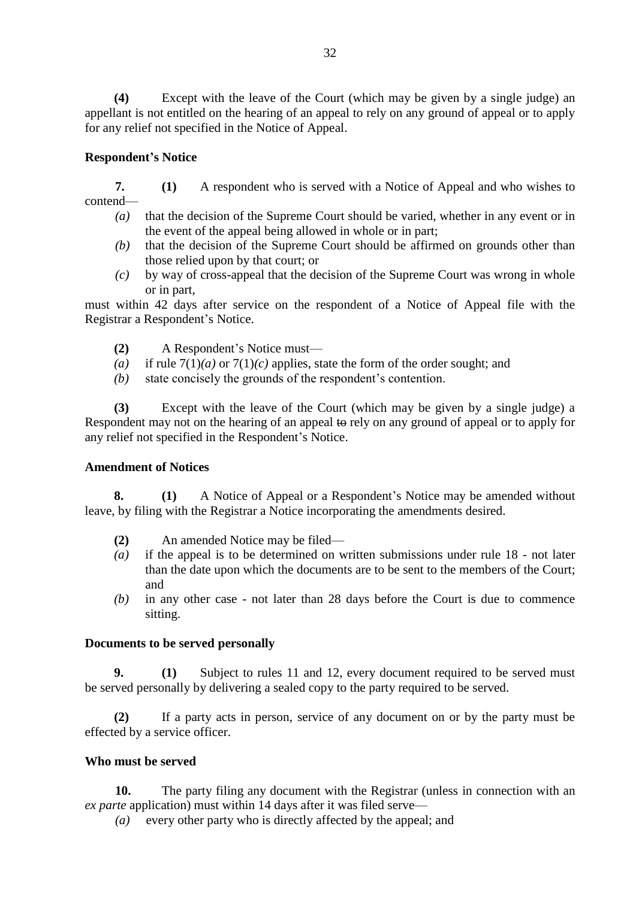**(4)** Except with the leave of the Court (which may be given by a single judge) an appellant is not entitled on the hearing of an appeal to rely on any ground of appeal or to apply for any relief not specified in the Notice of Appeal.

### **Respondent's Notice**

**7. (1)** A respondent who is served with a Notice of Appeal and who wishes to contend—

- *(a)* that the decision of the Supreme Court should be varied, whether in any event or in the event of the appeal being allowed in whole or in part;
- *(b)* that the decision of the Supreme Court should be affirmed on grounds other than those relied upon by that court; or
- *(c)* by way of cross-appeal that the decision of the Supreme Court was wrong in whole or in part,

must within 42 days after service on the respondent of a Notice of Appeal file with the Registrar a Respondent's Notice.

- **(2)** A Respondent's Notice must—
- *(a)* if rule 7(1)*(a)* or 7(1)*(c)* applies, state the form of the order sought; and
- *(b)* state concisely the grounds of the respondent's contention.

**(3)** Except with the leave of the Court (which may be given by a single judge) a Respondent may not on the hearing of an appeal to rely on any ground of appeal or to apply for any relief not specified in the Respondent's Notice.

#### **Amendment of Notices**

**8. (1)** A Notice of Appeal or a Respondent's Notice may be amended without leave, by filing with the Registrar a Notice incorporating the amendments desired.

- **(2)** An amended Notice may be filed—
- *(a)* if the appeal is to be determined on written submissions under rule 18 not later than the date upon which the documents are to be sent to the members of the Court; and
- *(b)* in any other case not later than 28 days before the Court is due to commence sitting.

#### **Documents to be served personally**

**9. (1)** Subject to rules 11 and 12, every document required to be served must be served personally by delivering a sealed copy to the party required to be served.

**(2)** If a party acts in person, service of any document on or by the party must be effected by a service officer.

### **Who must be served**

**10.** The party filing any document with the Registrar (unless in connection with an *ex parte* application) must within 14 days after it was filed serve—

*(a)* every other party who is directly affected by the appeal; and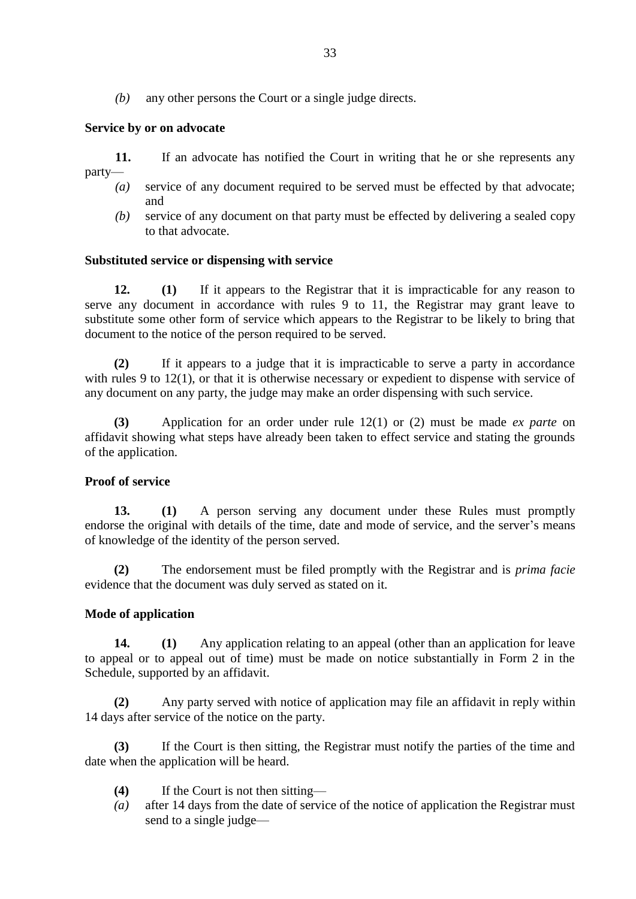*(b)* any other persons the Court or a single judge directs.

# **Service by or on advocate**

**11.** If an advocate has notified the Court in writing that he or she represents any party—

- *(a)* service of any document required to be served must be effected by that advocate; and
- *(b)* service of any document on that party must be effected by delivering a sealed copy to that advocate.

### **Substituted service or dispensing with service**

**12. (1)** If it appears to the Registrar that it is impracticable for any reason to serve any document in accordance with rules 9 to 11, the Registrar may grant leave to substitute some other form of service which appears to the Registrar to be likely to bring that document to the notice of the person required to be served.

**(2)** If it appears to a judge that it is impracticable to serve a party in accordance with rules 9 to 12(1), or that it is otherwise necessary or expedient to dispense with service of any document on any party, the judge may make an order dispensing with such service.

**(3)** Application for an order under rule 12(1) or (2) must be made *ex parte* on affidavit showing what steps have already been taken to effect service and stating the grounds of the application.

### **Proof of service**

**13. (1)** A person serving any document under these Rules must promptly endorse the original with details of the time, date and mode of service, and the server's means of knowledge of the identity of the person served.

**(2)** The endorsement must be filed promptly with the Registrar and is *prima facie* evidence that the document was duly served as stated on it.

### **Mode of application**

**14. (1)** Any application relating to an appeal (other than an application for leave to appeal or to appeal out of time) must be made on notice substantially in Form 2 in the Schedule, supported by an affidavit.

**(2)** Any party served with notice of application may file an affidavit in reply within 14 days after service of the notice on the party.

**(3)** If the Court is then sitting, the Registrar must notify the parties of the time and date when the application will be heard.

- **(4)** If the Court is not then sitting—
- *(a)* after 14 days from the date of service of the notice of application the Registrar must send to a single judge—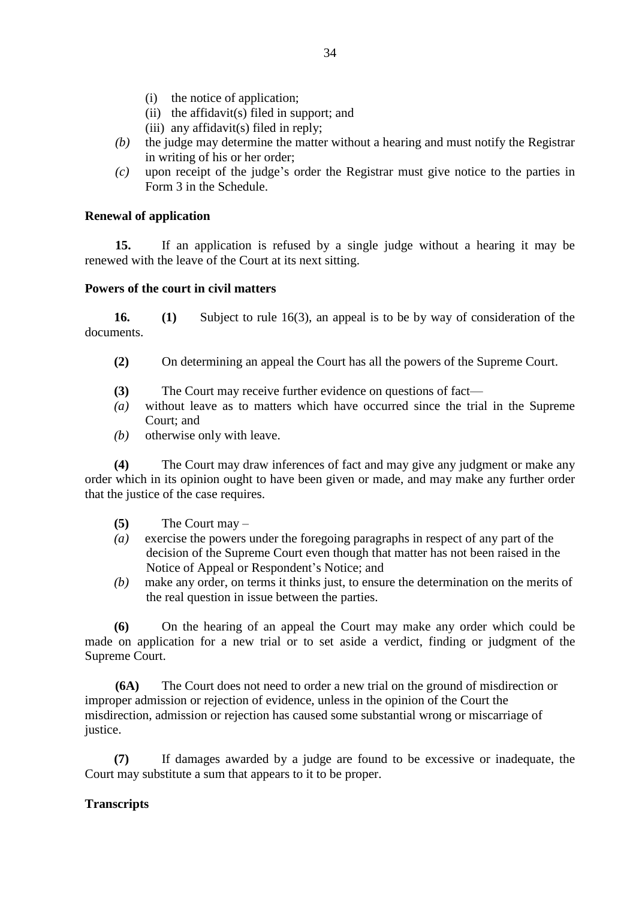- (i) the notice of application;
- (ii) the affidavit(s) filed in support; and
- (iii) any affidavit(s) filed in reply;
- *(b)* the judge may determine the matter without a hearing and must notify the Registrar in writing of his or her order;
- *(c)* upon receipt of the judge's order the Registrar must give notice to the parties in Form 3 in the Schedule.

#### **Renewal of application**

**15.** If an application is refused by a single judge without a hearing it may be renewed with the leave of the Court at its next sitting.

### **Powers of the court in civil matters**

**16. (1)** Subject to rule 16(3), an appeal is to be by way of consideration of the documents.

- **(2)** On determining an appeal the Court has all the powers of the Supreme Court.
- **(3)** The Court may receive further evidence on questions of fact—
- *(a)* without leave as to matters which have occurred since the trial in the Supreme Court; and
- *(b)* otherwise only with leave.

**(4)** The Court may draw inferences of fact and may give any judgment or make any order which in its opinion ought to have been given or made, and may make any further order that the justice of the case requires.

- **(5)** The Court may –
- *(a)* exercise the powers under the foregoing paragraphs in respect of any part of the decision of the Supreme Court even though that matter has not been raised in the Notice of Appeal or Respondent's Notice; and
- *(b)* make any order, on terms it thinks just, to ensure the determination on the merits of the real question in issue between the parties.

**(6)** On the hearing of an appeal the Court may make any order which could be made on application for a new trial or to set aside a verdict, finding or judgment of the Supreme Court.

**(6A)** The Court does not need to order a new trial on the ground of misdirection or improper admission or rejection of evidence, unless in the opinion of the Court the misdirection, admission or rejection has caused some substantial wrong or miscarriage of justice.

**(7)** If damages awarded by a judge are found to be excessive or inadequate, the Court may substitute a sum that appears to it to be proper.

### **Transcripts**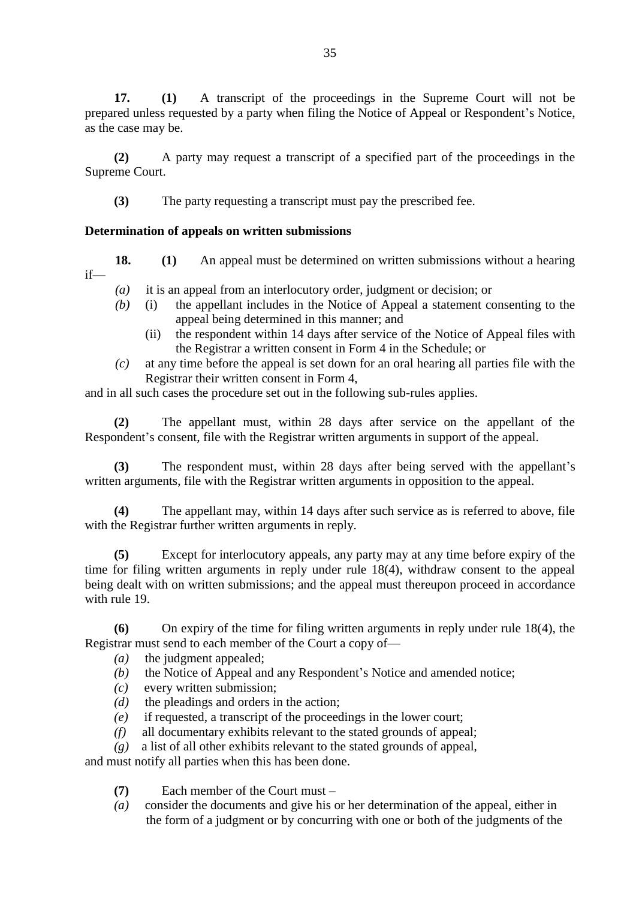**17. (1)** A transcript of the proceedings in the Supreme Court will not be prepared unless requested by a party when filing the Notice of Appeal or Respondent's Notice, as the case may be.

**(2)** A party may request a transcript of a specified part of the proceedings in the Supreme Court.

**(3)** The party requesting a transcript must pay the prescribed fee.

# **Determination of appeals on written submissions**

- **18. (1)** An appeal must be determined on written submissions without a hearing if—
	- *(a)* it is an appeal from an interlocutory order, judgment or decision; or
	- *(b)* (i) the appellant includes in the Notice of Appeal a statement consenting to the appeal being determined in this manner; and
		- (ii) the respondent within 14 days after service of the Notice of Appeal files with the Registrar a written consent in Form 4 in the Schedule; or
	- *(c)* at any time before the appeal is set down for an oral hearing all parties file with the Registrar their written consent in Form 4,

and in all such cases the procedure set out in the following sub-rules applies.

**(2)** The appellant must, within 28 days after service on the appellant of the Respondent's consent, file with the Registrar written arguments in support of the appeal.

**(3)** The respondent must, within 28 days after being served with the appellant's written arguments, file with the Registrar written arguments in opposition to the appeal.

**(4)** The appellant may, within 14 days after such service as is referred to above, file with the Registrar further written arguments in reply.

**(5)** Except for interlocutory appeals, any party may at any time before expiry of the time for filing written arguments in reply under rule 18(4), withdraw consent to the appeal being dealt with on written submissions; and the appeal must thereupon proceed in accordance with rule 19.

**(6)** On expiry of the time for filing written arguments in reply under rule 18(4), the Registrar must send to each member of the Court a copy of—

- *(a)* the judgment appealed;
- *(b)* the Notice of Appeal and any Respondent's Notice and amended notice;
- *(c)* every written submission;
- *(d)* the pleadings and orders in the action;
- *(e)* if requested, a transcript of the proceedings in the lower court;
- *(f)* all documentary exhibits relevant to the stated grounds of appeal;
- *(g)* a list of all other exhibits relevant to the stated grounds of appeal,

and must notify all parties when this has been done.

- **(7)** Each member of the Court must –
- *(a)* consider the documents and give his or her determination of the appeal, either in the form of a judgment or by concurring with one or both of the judgments of the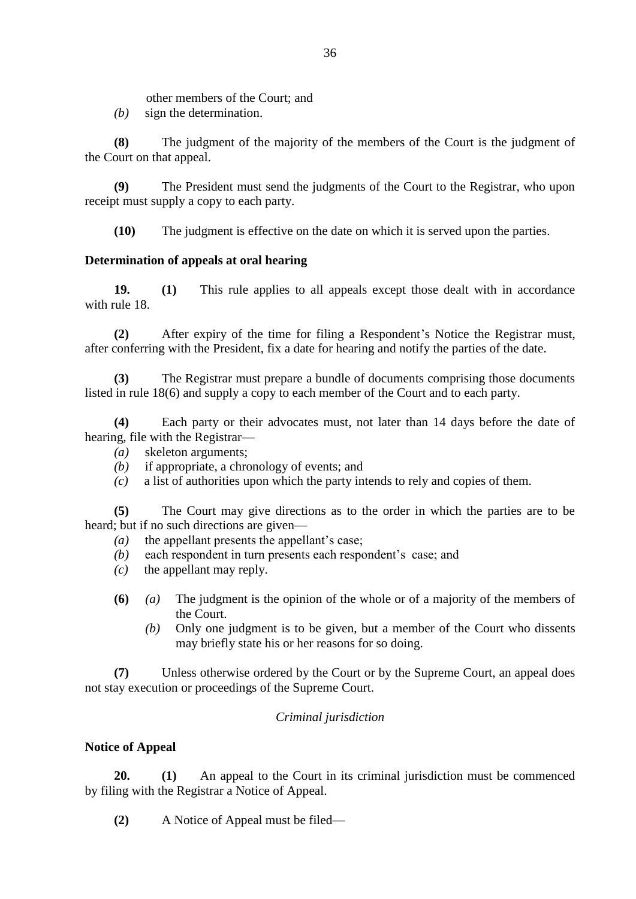other members of the Court; and

*(b)* sign the determination.

**(8)** The judgment of the majority of the members of the Court is the judgment of the Court on that appeal.

**(9)** The President must send the judgments of the Court to the Registrar, who upon receipt must supply a copy to each party.

**(10)** The judgment is effective on the date on which it is served upon the parties.

# **Determination of appeals at oral hearing**

**19. (1)** This rule applies to all appeals except those dealt with in accordance with rule 18.

**(2)** After expiry of the time for filing a Respondent's Notice the Registrar must, after conferring with the President, fix a date for hearing and notify the parties of the date.

**(3)** The Registrar must prepare a bundle of documents comprising those documents listed in rule 18(6) and supply a copy to each member of the Court and to each party.

**(4)** Each party or their advocates must, not later than 14 days before the date of hearing, file with the Registrar—

- *(a)* skeleton arguments;
- *(b)* if appropriate, a chronology of events; and
- *(c)* a list of authorities upon which the party intends to rely and copies of them.

**(5)** The Court may give directions as to the order in which the parties are to be heard; but if no such directions are given—

- *(a)* the appellant presents the appellant's case;
- *(b)* each respondent in turn presents each respondent's case; and
- *(c)* the appellant may reply.
- **(6)** *(a)* The judgment is the opinion of the whole or of a majority of the members of the Court.
	- *(b)* Only one judgment is to be given, but a member of the Court who dissents may briefly state his or her reasons for so doing.

**(7)** Unless otherwise ordered by the Court or by the Supreme Court, an appeal does not stay execution or proceedings of the Supreme Court.

# *Criminal jurisdiction*

# **Notice of Appeal**

**20. (1)** An appeal to the Court in its criminal jurisdiction must be commenced by filing with the Registrar a Notice of Appeal.

**(2)** A Notice of Appeal must be filed—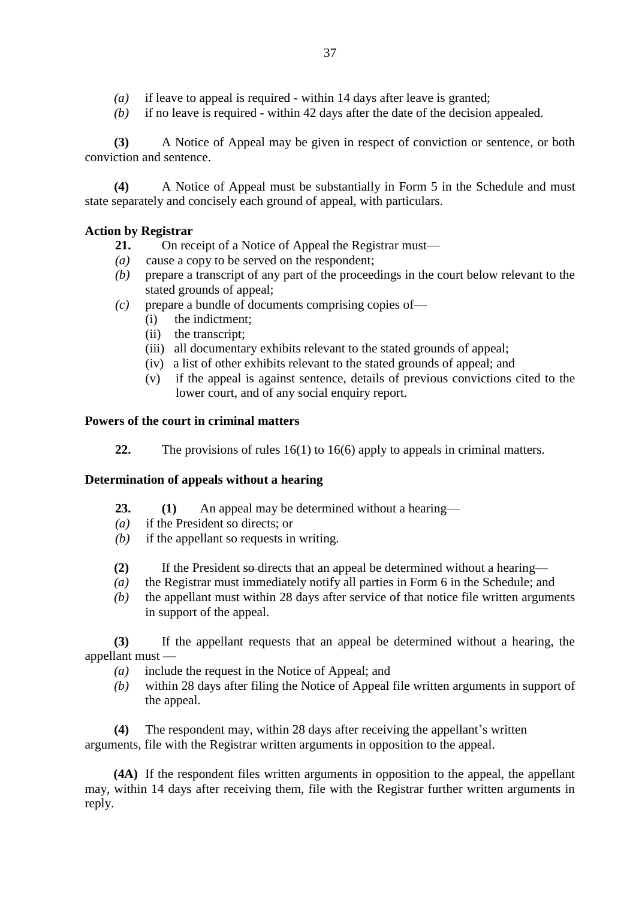- *(a)* if leave to appeal is required within 14 days after leave is granted;
- *(b)* if no leave is required within 42 days after the date of the decision appealed.

**(3)** A Notice of Appeal may be given in respect of conviction or sentence, or both conviction and sentence.

**(4)** A Notice of Appeal must be substantially in Form 5 in the Schedule and must state separately and concisely each ground of appeal, with particulars.

### **Action by Registrar**

- **21.** On receipt of a Notice of Appeal the Registrar must—
- *(a)* cause a copy to be served on the respondent;
- *(b)* prepare a transcript of any part of the proceedings in the court below relevant to the stated grounds of appeal;
- *(c)* prepare a bundle of documents comprising copies of—
	- (i) the indictment;
	- (ii) the transcript;
	- (iii) all documentary exhibits relevant to the stated grounds of appeal;
	- (iv) a list of other exhibits relevant to the stated grounds of appeal; and
	- (v) if the appeal is against sentence, details of previous convictions cited to the lower court, and of any social enquiry report.

#### **Powers of the court in criminal matters**

**22.** The provisions of rules 16(1) to 16(6) apply to appeals in criminal matters.

### **Determination of appeals without a hearing**

- **23. (1)** An appeal may be determined without a hearing—
- *(a)* if the President so directs; or
- *(b)* if the appellant so requests in writing.
- **(2)** If the President so directs that an appeal be determined without a hearing—
- *(a)* the Registrar must immediately notify all parties in Form 6 in the Schedule; and
- *(b)* the appellant must within 28 days after service of that notice file written arguments in support of the appeal.

**(3)** If the appellant requests that an appeal be determined without a hearing, the appellant must —

- *(a)* include the request in the Notice of Appeal; and
- *(b)* within 28 days after filing the Notice of Appeal file written arguments in support of the appeal.

**(4)** The respondent may, within 28 days after receiving the appellant's written arguments, file with the Registrar written arguments in opposition to the appeal.

 **(4A)** If the respondent files written arguments in opposition to the appeal, the appellant may, within 14 days after receiving them, file with the Registrar further written arguments in reply.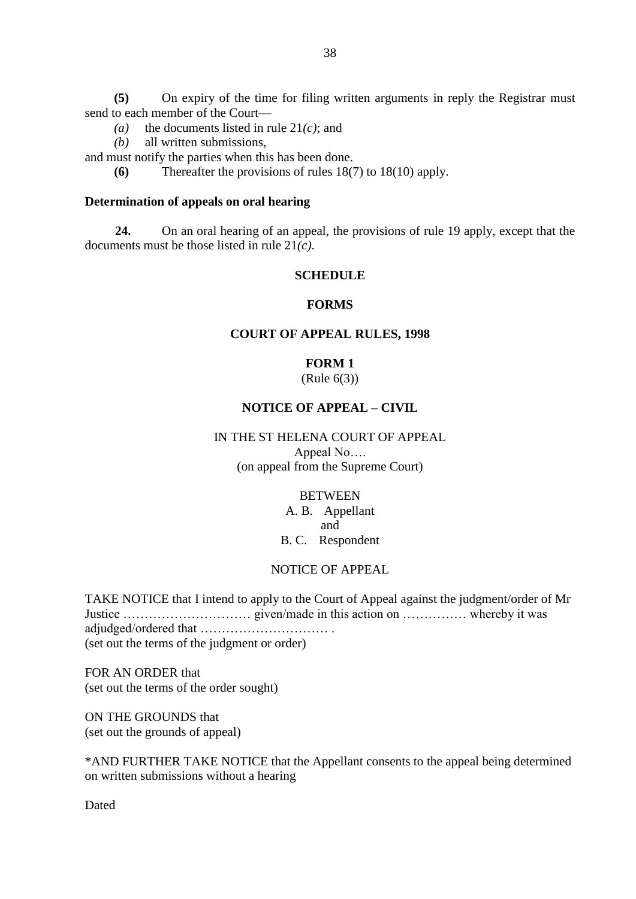**(5)** On expiry of the time for filing written arguments in reply the Registrar must send to each member of the Court—

- (a) the documents listed in rule  $21(c)$ ; and
- *(b)* all written submissions,

and must notify the parties when this has been done.

**(6)** Thereafter the provisions of rules 18(7) to 18(10) apply.

#### **Determination of appeals on oral hearing**

**24.** On an oral hearing of an appeal, the provisions of rule 19 apply, except that the documents must be those listed in rule 21*(c)*.

#### **SCHEDULE**

### **FORMS**

#### **COURT OF APPEAL RULES, 1998**

# **FORM 1**

(Rule 6(3))

### **NOTICE OF APPEAL – CIVIL**

# IN THE ST HELENA COURT OF APPEAL

Appeal No…. (on appeal from the Supreme Court)

#### **BETWEEN**

A. B. Appellant and B. C. Respondent

#### NOTICE OF APPEAL

TAKE NOTICE that I intend to apply to the Court of Appeal against the judgment/order of Mr Justice ………………………… given/made in this action on …………… whereby it was adjudged/ordered that ………………………… . (set out the terms of the judgment or order)

FOR AN ORDER that (set out the terms of the order sought)

ON THE GROUNDS that (set out the grounds of appeal)

\*AND FURTHER TAKE NOTICE that the Appellant consents to the appeal being determined on written submissions without a hearing

Dated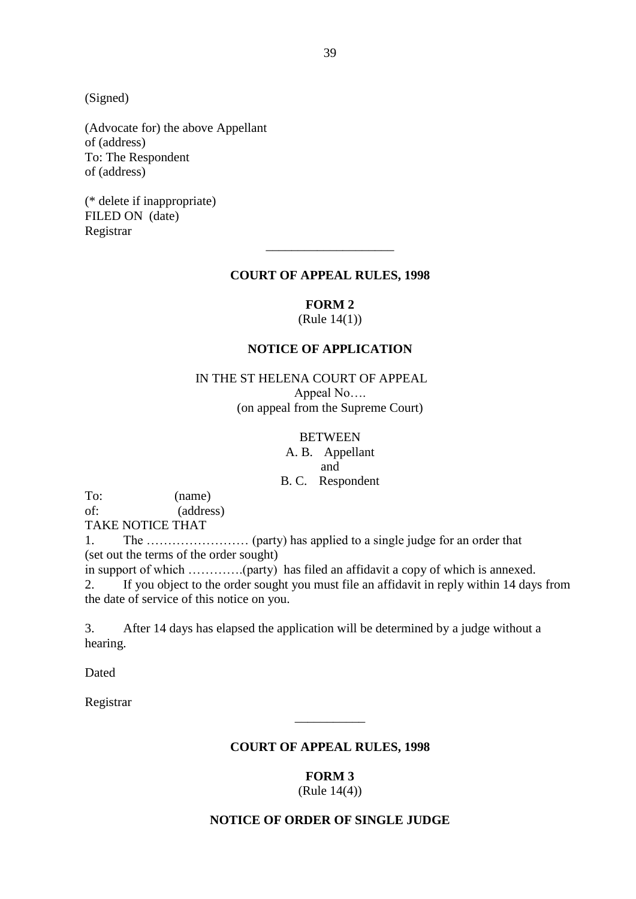(Signed)

(Advocate for) the above Appellant of (address) To: The Respondent of (address)

(\* delete if inappropriate) FILED ON (date) Registrar

#### **COURT OF APPEAL RULES, 1998**

\_\_\_\_\_\_\_\_\_\_\_\_\_\_\_\_\_\_\_\_

**FORM 2**

(Rule 14(1))

### **NOTICE OF APPLICATION**

### IN THE ST HELENA COURT OF APPEAL

Appeal No…. (on appeal from the Supreme Court)

#### **BETWEEN**

A. B. Appellant and B. C. Respondent

To: (name) of: (address)

TAKE NOTICE THAT

1. The …………………… (party) has applied to a single judge for an order that (set out the terms of the order sought)

in support of which ………….(party) has filed an affidavit a copy of which is annexed. 2. If you object to the order sought you must file an affidavit in reply within 14 days from the date of service of this notice on you.

3. After 14 days has elapsed the application will be determined by a judge without a hearing.

Dated

Registrar

#### **COURT OF APPEAL RULES, 1998**

\_\_\_\_\_\_\_\_\_\_\_

**FORM 3**

(Rule 14(4))

#### **NOTICE OF ORDER OF SINGLE JUDGE**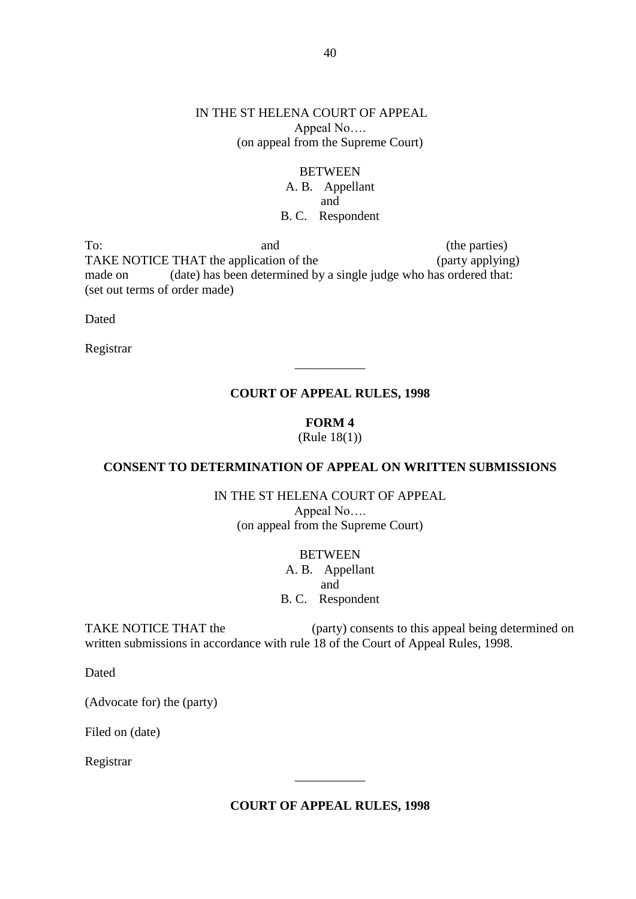### IN THE ST HELENA COURT OF APPEAL Appeal No…. (on appeal from the Supreme Court)

# **BETWEEN** A. B. Appellant and B. C. Respondent

To: and (the parties) TAKE NOTICE THAT the application of the (party applying) made on (date) has been determined by a single judge who has ordered that: (set out terms of order made)

Dated

Registrar

### **COURT OF APPEAL RULES, 1998**

 $\overline{\phantom{a}}$ 

# **FORM 4**

(Rule 18(1))

### **CONSENT TO DETERMINATION OF APPEAL ON WRITTEN SUBMISSIONS**

IN THE ST HELENA COURT OF APPEAL Appeal No…. (on appeal from the Supreme Court)

**BETWEEN** 

A. B. Appellant and B. C. Respondent

TAKE NOTICE THAT the (party) consents to this appeal being determined on written submissions in accordance with rule 18 of the Court of Appeal Rules, 1998.

Dated

(Advocate for) the (party)

Filed on (date)

Registrar

### **COURT OF APPEAL RULES, 1998**

\_\_\_\_\_\_\_\_\_\_\_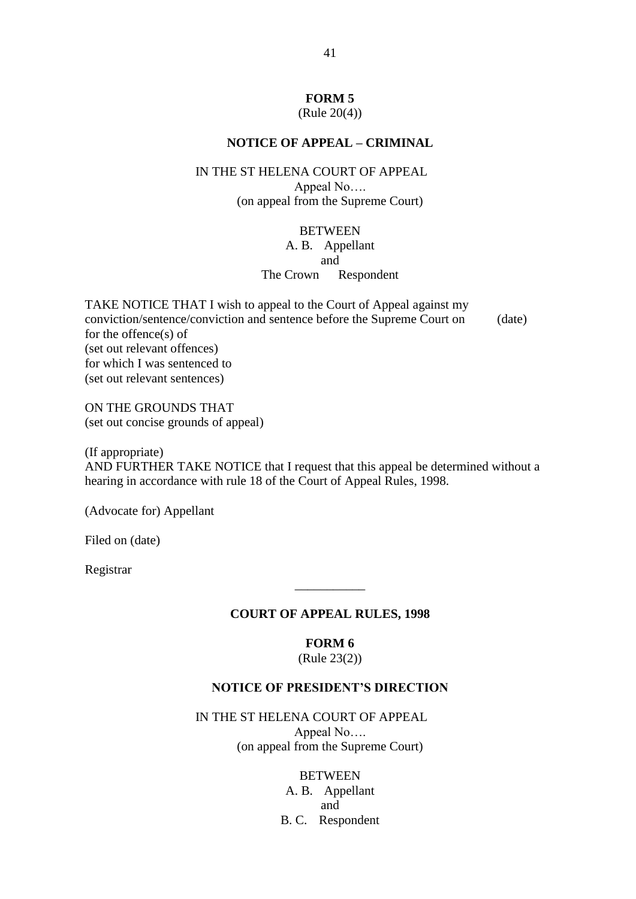### **FORM 5**

(Rule 20(4))

### **NOTICE OF APPEAL – CRIMINAL**

#### IN THE ST HELENA COURT OF APPEAL

Appeal No…. (on appeal from the Supreme Court)

#### BETWEEN

A. B. Appellant

#### and

#### The Crown Respondent

TAKE NOTICE THAT I wish to appeal to the Court of Appeal against my conviction/sentence/conviction and sentence before the Supreme Court on (date) for the offence(s) of (set out relevant offences) for which I was sentenced to (set out relevant sentences)

ON THE GROUNDS THAT (set out concise grounds of appeal)

(If appropriate) AND FURTHER TAKE NOTICE that I request that this appeal be determined without a hearing in accordance with rule 18 of the Court of Appeal Rules, 1998.

(Advocate for) Appellant

Filed on (date)

Registrar

#### **COURT OF APPEAL RULES, 1998**

 $\overline{\phantom{a}}$ 

#### **FORM 6**

(Rule 23(2))

### **NOTICE OF PRESIDENT'S DIRECTION**

IN THE ST HELENA COURT OF APPEAL Appeal No…. (on appeal from the Supreme Court)

#### **BETWEEN**

A. B. Appellant and B. C. Respondent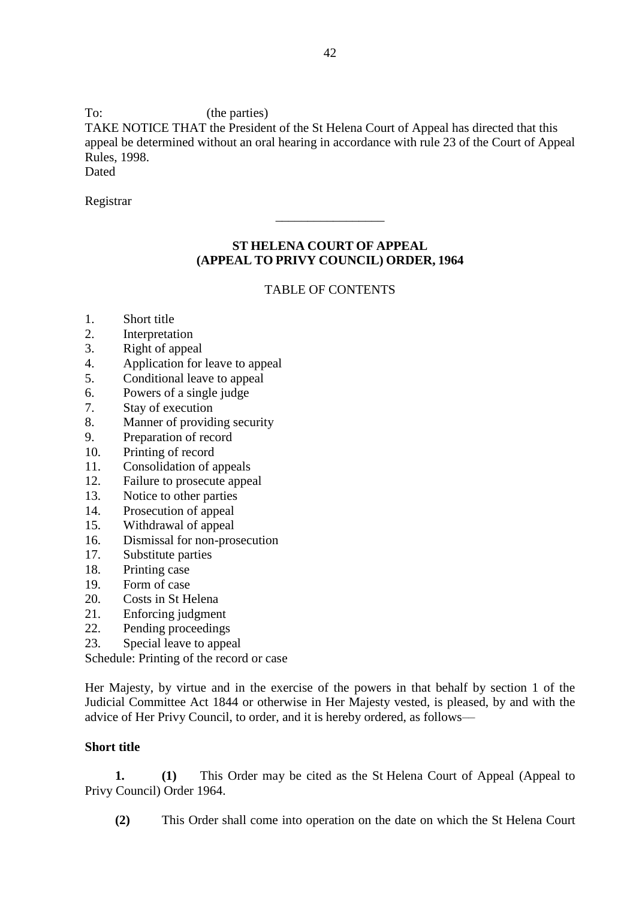To: (the parties)

TAKE NOTICE THAT the President of the St Helena Court of Appeal has directed that this appeal be determined without an oral hearing in accordance with rule 23 of the Court of Appeal Rules, 1998.

**Dated** 

Registrar

# **ST HELENA COURT OF APPEAL (APPEAL TO PRIVY COUNCIL) ORDER, 1964**

\_\_\_\_\_\_\_\_\_\_\_\_\_\_\_\_\_

# TABLE OF CONTENTS

- 1. Short title
- 2. Interpretation
- 3. Right of appeal
- 4. Application for leave to appeal
- 5. Conditional leave to appeal
- 6. Powers of a single judge
- 7. Stay of execution
- 8. Manner of providing security
- 9. Preparation of record
- 10. Printing of record
- 11. Consolidation of appeals
- 12. Failure to prosecute appeal
- 13. Notice to other parties
- 14. Prosecution of appeal
- 15. Withdrawal of appeal
- 16. Dismissal for non-prosecution
- 17. Substitute parties
- 18. Printing case
- 19. Form of case
- 20. Costs in St Helena
- 21. Enforcing judgment
- 22. Pending proceedings
- 23. Special leave to appeal

Schedule: Printing of the record or case

Her Majesty, by virtue and in the exercise of the powers in that behalf by section 1 of the Judicial Committee Act 1844 or otherwise in Her Majesty vested, is pleased, by and with the advice of Her Privy Council, to order, and it is hereby ordered, as follows––

# **Short title**

**1. (1)** This Order may be cited as the St Helena Court of Appeal (Appeal to Privy Council) Order 1964.

**(2)** This Order shall come into operation on the date on which the St Helena Court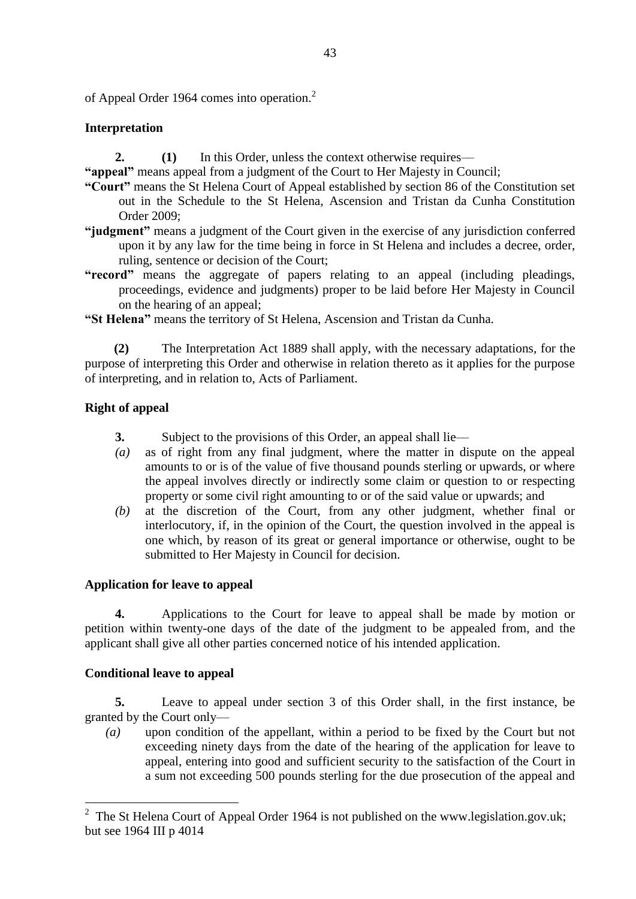of Appeal Order 1964 comes into operation.<sup>2</sup>

# **Interpretation**

**2. (1)** In this Order, unless the context otherwise requires––

**"appeal"** means appeal from a judgment of the Court to Her Majesty in Council;

- **"Court"** means the St Helena Court of Appeal established by section 86 of the Constitution set out in the Schedule to the St Helena, Ascension and Tristan da Cunha Constitution Order 2009;
- **"judgment"** means a judgment of the Court given in the exercise of any jurisdiction conferred upon it by any law for the time being in force in St Helena and includes a decree, order, ruling, sentence or decision of the Court;
- **"record"** means the aggregate of papers relating to an appeal (including pleadings, proceedings, evidence and judgments) proper to be laid before Her Majesty in Council on the hearing of an appeal;
- **"St Helena"** means the territory of St Helena, Ascension and Tristan da Cunha.

**(2)** The Interpretation Act 1889 shall apply, with the necessary adaptations, for the purpose of interpreting this Order and otherwise in relation thereto as it applies for the purpose of interpreting, and in relation to, Acts of Parliament.

# **Right of appeal**

- **3.** Subject to the provisions of this Order, an appeal shall lie––
- *(a)* as of right from any final judgment, where the matter in dispute on the appeal amounts to or is of the value of five thousand pounds sterling or upwards, or where the appeal involves directly or indirectly some claim or question to or respecting property or some civil right amounting to or of the said value or upwards; and
- *(b)* at the discretion of the Court, from any other judgment, whether final or interlocutory, if, in the opinion of the Court, the question involved in the appeal is one which, by reason of its great or general importance or otherwise, ought to be submitted to Her Majesty in Council for decision.

# **Application for leave to appeal**

**4.** Applications to the Court for leave to appeal shall be made by motion or petition within twenty-one days of the date of the judgment to be appealed from, and the applicant shall give all other parties concerned notice of his intended application.

# **Conditional leave to appeal**

1

**5.** Leave to appeal under section 3 of this Order shall, in the first instance, be granted by the Court only––

*(a)* upon condition of the appellant, within a period to be fixed by the Court but not exceeding ninety days from the date of the hearing of the application for leave to appeal, entering into good and sufficient security to the satisfaction of the Court in a sum not exceeding 500 pounds sterling for the due prosecution of the appeal and

<sup>&</sup>lt;sup>2</sup> The St Helena Court of Appeal Order 1964 is not published on the www.legislation.gov.uk; but see 1964 III p 4014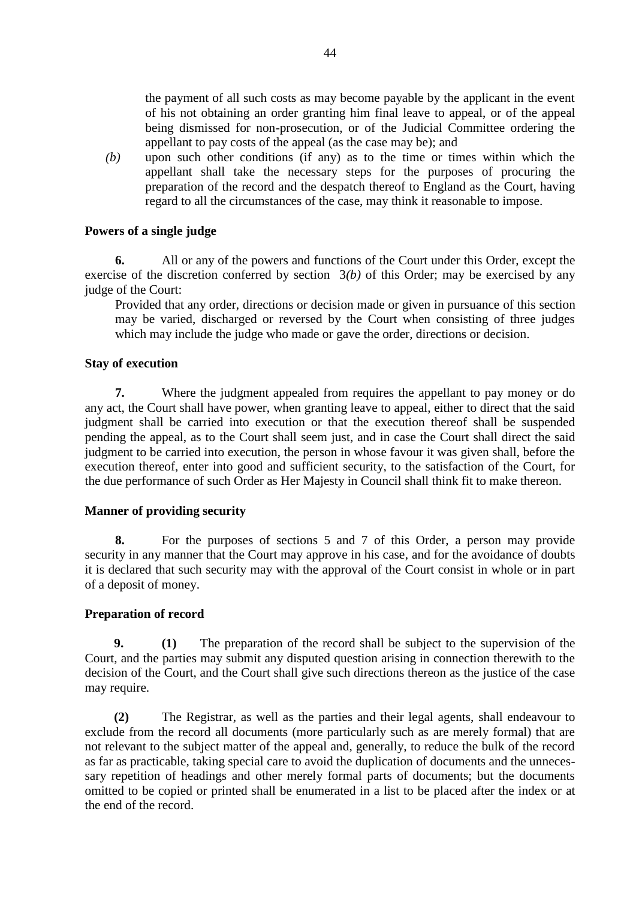the payment of all such costs as may become payable by the applicant in the event of his not obtaining an order granting him final leave to appeal, or of the appeal being dismissed for non-prosecution, or of the Judicial Committee ordering the appellant to pay costs of the appeal (as the case may be); and

*(b)* upon such other conditions (if any) as to the time or times within which the appellant shall take the necessary steps for the purposes of procuring the preparation of the record and the despatch thereof to England as the Court, having regard to all the circumstances of the case, may think it reasonable to impose.

### **Powers of a single judge**

**6.** All or any of the powers and functions of the Court under this Order, except the exercise of the discretion conferred by section 3*(b)* of this Order; may be exercised by any judge of the Court:

Provided that any order, directions or decision made or given in pursuance of this section may be varied, discharged or reversed by the Court when consisting of three judges which may include the judge who made or gave the order, directions or decision.

#### **Stay of execution**

**7.** Where the judgment appealed from requires the appellant to pay money or do any act, the Court shall have power, when granting leave to appeal, either to direct that the said judgment shall be carried into execution or that the execution thereof shall be suspended pending the appeal, as to the Court shall seem just, and in case the Court shall direct the said judgment to be carried into execution, the person in whose favour it was given shall, before the execution thereof, enter into good and sufficient security, to the satisfaction of the Court, for the due performance of such Order as Her Majesty in Council shall think fit to make thereon.

### **Manner of providing security**

**8.** For the purposes of sections 5 and 7 of this Order, a person may provide security in any manner that the Court may approve in his case, and for the avoidance of doubts it is declared that such security may with the approval of the Court consist in whole or in part of a deposit of money.

#### **Preparation of record**

**9. (1)** The preparation of the record shall be subject to the supervision of the Court, and the parties may submit any disputed question arising in connection therewith to the decision of the Court, and the Court shall give such directions thereon as the justice of the case may require.

**(2)** The Registrar, as well as the parties and their legal agents, shall endeavour to exclude from the record all documents (more particularly such as are merely formal) that are not relevant to the subject matter of the appeal and, generally, to reduce the bulk of the record as far as practicable, taking special care to avoid the duplication of documents and the unnecessary repetition of headings and other merely formal parts of documents; but the documents omitted to be copied or printed shall be enumerated in a list to be placed after the index or at the end of the record.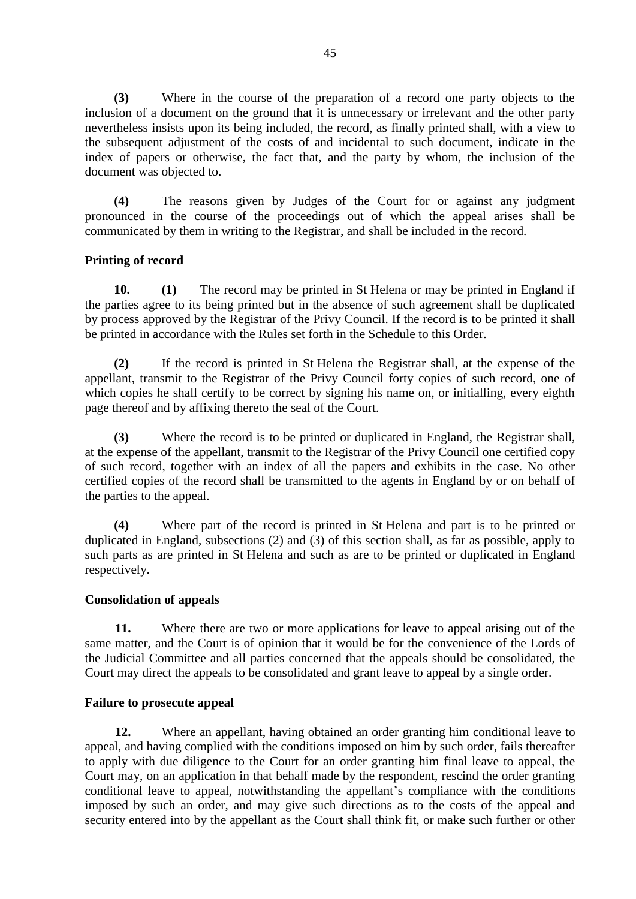**(3)** Where in the course of the preparation of a record one party objects to the inclusion of a document on the ground that it is unnecessary or irrelevant and the other party nevertheless insists upon its being included, the record, as finally printed shall, with a view to the subsequent adjustment of the costs of and incidental to such document, indicate in the index of papers or otherwise, the fact that, and the party by whom, the inclusion of the document was objected to.

**(4)** The reasons given by Judges of the Court for or against any judgment pronounced in the course of the proceedings out of which the appeal arises shall be communicated by them in writing to the Registrar, and shall be included in the record.

### **Printing of record**

**10. (1)** The record may be printed in St Helena or may be printed in England if the parties agree to its being printed but in the absence of such agreement shall be duplicated by process approved by the Registrar of the Privy Council. If the record is to be printed it shall be printed in accordance with the Rules set forth in the Schedule to this Order.

**(2)** If the record is printed in St Helena the Registrar shall, at the expense of the appellant, transmit to the Registrar of the Privy Council forty copies of such record, one of which copies he shall certify to be correct by signing his name on, or initialling, every eighth page thereof and by affixing thereto the seal of the Court.

**(3)** Where the record is to be printed or duplicated in England, the Registrar shall, at the expense of the appellant, transmit to the Registrar of the Privy Council one certified copy of such record, together with an index of all the papers and exhibits in the case. No other certified copies of the record shall be transmitted to the agents in England by or on behalf of the parties to the appeal.

**(4)** Where part of the record is printed in St Helena and part is to be printed or duplicated in England, subsections (2) and (3) of this section shall, as far as possible, apply to such parts as are printed in St Helena and such as are to be printed or duplicated in England respectively.

### **Consolidation of appeals**

**11.** Where there are two or more applications for leave to appeal arising out of the same matter, and the Court is of opinion that it would be for the convenience of the Lords of the Judicial Committee and all parties concerned that the appeals should be consolidated, the Court may direct the appeals to be consolidated and grant leave to appeal by a single order.

### **Failure to prosecute appeal**

**12.** Where an appellant, having obtained an order granting him conditional leave to appeal, and having complied with the conditions imposed on him by such order, fails thereafter to apply with due diligence to the Court for an order granting him final leave to appeal, the Court may, on an application in that behalf made by the respondent, rescind the order granting conditional leave to appeal, notwithstanding the appellant's compliance with the conditions imposed by such an order, and may give such directions as to the costs of the appeal and security entered into by the appellant as the Court shall think fit, or make such further or other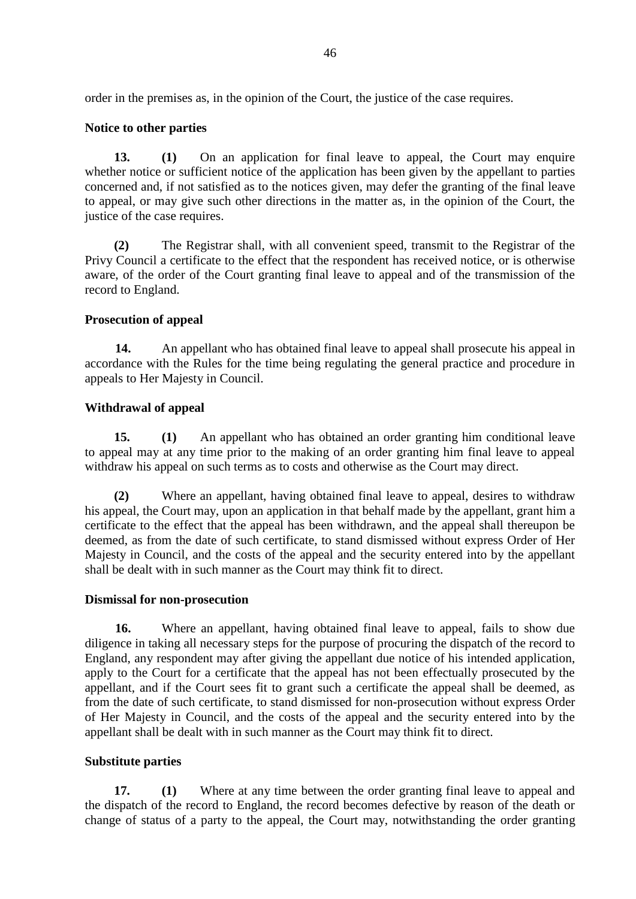order in the premises as, in the opinion of the Court, the justice of the case requires.

# **Notice to other parties**

**13. (1)** On an application for final leave to appeal, the Court may enquire whether notice or sufficient notice of the application has been given by the appellant to parties concerned and, if not satisfied as to the notices given, may defer the granting of the final leave to appeal, or may give such other directions in the matter as, in the opinion of the Court, the justice of the case requires.

**(2)** The Registrar shall, with all convenient speed, transmit to the Registrar of the Privy Council a certificate to the effect that the respondent has received notice, or is otherwise aware, of the order of the Court granting final leave to appeal and of the transmission of the record to England.

### **Prosecution of appeal**

**14.** An appellant who has obtained final leave to appeal shall prosecute his appeal in accordance with the Rules for the time being regulating the general practice and procedure in appeals to Her Majesty in Council.

### **Withdrawal of appeal**

**15. (1)** An appellant who has obtained an order granting him conditional leave to appeal may at any time prior to the making of an order granting him final leave to appeal withdraw his appeal on such terms as to costs and otherwise as the Court may direct.

**(2)** Where an appellant, having obtained final leave to appeal, desires to withdraw his appeal, the Court may, upon an application in that behalf made by the appellant, grant him a certificate to the effect that the appeal has been withdrawn, and the appeal shall thereupon be deemed, as from the date of such certificate, to stand dismissed without express Order of Her Majesty in Council, and the costs of the appeal and the security entered into by the appellant shall be dealt with in such manner as the Court may think fit to direct.

### **Dismissal for non-prosecution**

**16.** Where an appellant, having obtained final leave to appeal, fails to show due diligence in taking all necessary steps for the purpose of procuring the dispatch of the record to England, any respondent may after giving the appellant due notice of his intended application, apply to the Court for a certificate that the appeal has not been effectually prosecuted by the appellant, and if the Court sees fit to grant such a certificate the appeal shall be deemed, as from the date of such certificate, to stand dismissed for non-prosecution without express Order of Her Majesty in Council, and the costs of the appeal and the security entered into by the appellant shall be dealt with in such manner as the Court may think fit to direct.

### **Substitute parties**

**17. (1)** Where at any time between the order granting final leave to appeal and the dispatch of the record to England, the record becomes defective by reason of the death or change of status of a party to the appeal, the Court may, notwithstanding the order granting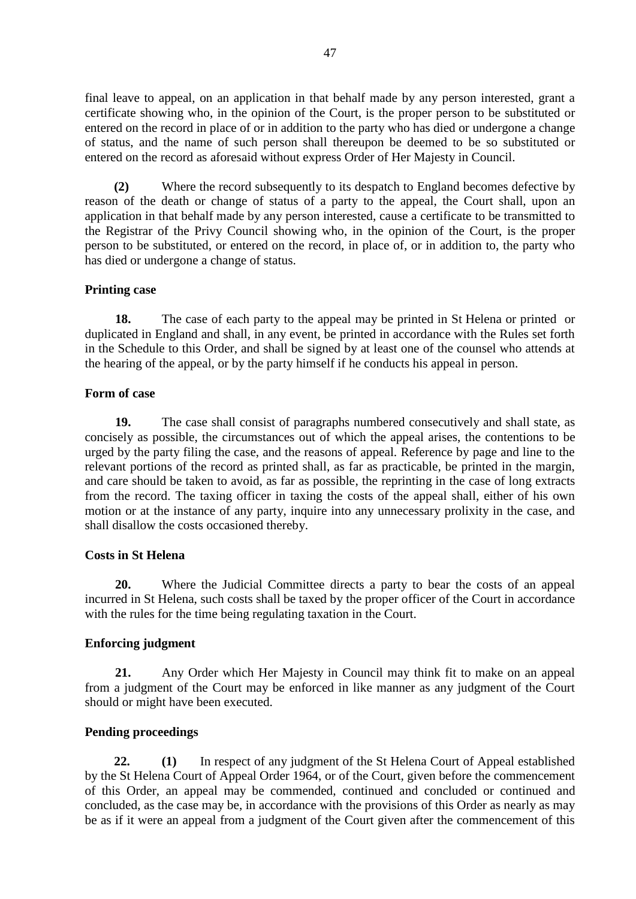final leave to appeal, on an application in that behalf made by any person interested, grant a certificate showing who, in the opinion of the Court, is the proper person to be substituted or entered on the record in place of or in addition to the party who has died or undergone a change of status, and the name of such person shall thereupon be deemed to be so substituted or entered on the record as aforesaid without express Order of Her Majesty in Council.

**(2)** Where the record subsequently to its despatch to England becomes defective by reason of the death or change of status of a party to the appeal, the Court shall, upon an application in that behalf made by any person interested, cause a certificate to be transmitted to the Registrar of the Privy Council showing who, in the opinion of the Court, is the proper person to be substituted, or entered on the record, in place of, or in addition to, the party who has died or undergone a change of status.

### **Printing case**

**18.** The case of each party to the appeal may be printed in St Helena or printed or duplicated in England and shall, in any event, be printed in accordance with the Rules set forth in the Schedule to this Order, and shall be signed by at least one of the counsel who attends at the hearing of the appeal, or by the party himself if he conducts his appeal in person.

### **Form of case**

**19.** The case shall consist of paragraphs numbered consecutively and shall state, as concisely as possible, the circumstances out of which the appeal arises, the contentions to be urged by the party filing the case, and the reasons of appeal. Reference by page and line to the relevant portions of the record as printed shall, as far as practicable, be printed in the margin, and care should be taken to avoid, as far as possible, the reprinting in the case of long extracts from the record. The taxing officer in taxing the costs of the appeal shall, either of his own motion or at the instance of any party, inquire into any unnecessary prolixity in the case, and shall disallow the costs occasioned thereby.

### **Costs in St Helena**

**20.** Where the Judicial Committee directs a party to bear the costs of an appeal incurred in St Helena, such costs shall be taxed by the proper officer of the Court in accordance with the rules for the time being regulating taxation in the Court.

### **Enforcing judgment**

**21.** Any Order which Her Majesty in Council may think fit to make on an appeal from a judgment of the Court may be enforced in like manner as any judgment of the Court should or might have been executed.

### **Pending proceedings**

**22. (1)** In respect of any judgment of the St Helena Court of Appeal established by the St Helena Court of Appeal Order 1964, or of the Court, given before the commencement of this Order, an appeal may be commended, continued and concluded or continued and concluded, as the case may be, in accordance with the provisions of this Order as nearly as may be as if it were an appeal from a judgment of the Court given after the commencement of this